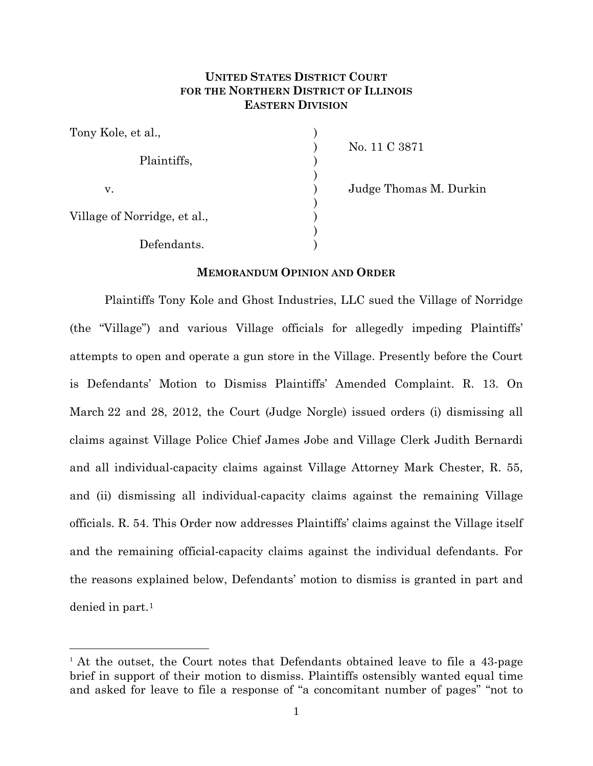# **UNITED STATES DISTRICT COURT FOR THE NORTHERN DISTRICT OF ILLINOIS EASTERN DIVISION**

| Tony Kole, et al.,           |  |
|------------------------------|--|
| Plaintiffs,                  |  |
| v.                           |  |
| Village of Norridge, et al., |  |
| Defendants.                  |  |

) No. 11 C 3871

Judge Thomas M. Durkin

## **MEMORANDUM OPINION AND ORDER**

Plaintiffs Tony Kole and Ghost Industries, LLC sued the Village of Norridge (the "Village") and various Village officials for allegedly impeding Plaintiffs' attempts to open and operate a gun store in the Village. Presently before the Court is Defendants' Motion to Dismiss Plaintiffs' Amended Complaint. R. 13. On March 22 and 28, 2012, the Court (Judge Norgle) issued orders (i) dismissing all claims against Village Police Chief James Jobe and Village Clerk Judith Bernardi and all individual-capacity claims against Village Attorney Mark Chester, R. 55, and (ii) dismissing all individual-capacity claims against the remaining Village officials. R. 54. This Order now addresses Plaintiffs' claims against the Village itself and the remaining official-capacity claims against the individual defendants. For the reasons explained below, Defendants' motion to dismiss is granted in part and denied in part.[1](#page-0-0)

<span id="page-0-0"></span><sup>&</sup>lt;sup>1</sup> At the outset, the Court notes that Defendants obtained leave to file a 43-page brief in support of their motion to dismiss. Plaintiffs ostensibly wanted equal time and asked for leave to file a response of "a concomitant number of pages" "not to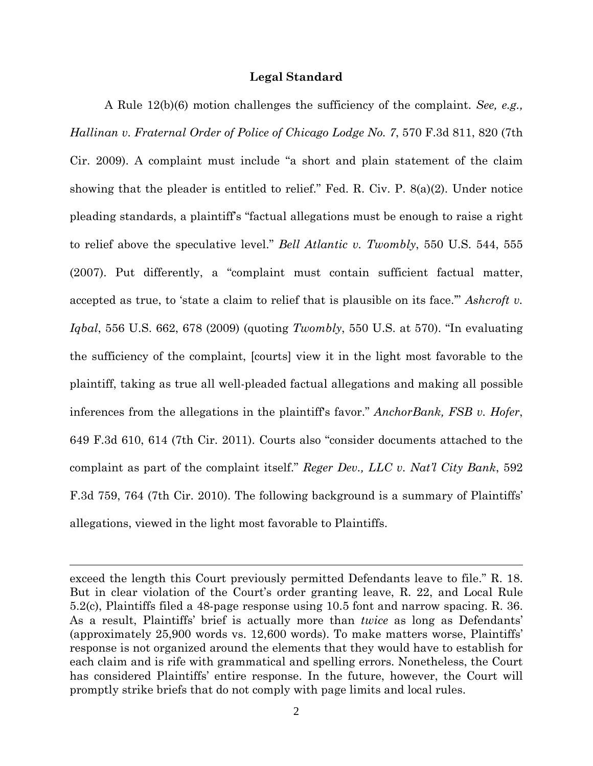## **Legal Standard**

A Rule 12(b)(6) motion challenges the sufficiency of the complaint. *See, e.g., Hallinan v. Fraternal Order of Police of Chicago Lodge No. 7*, 570 F.3d 811, 820 (7th Cir. 2009). A complaint must include "a short and plain statement of the claim showing that the pleader is entitled to relief." Fed. R. Civ. P. 8(a)(2). Under notice pleading standards, a plaintiff's "factual allegations must be enough to raise a right to relief above the speculative level." *Bell Atlantic v. Twombly*, 550 U.S. 544, 555 (2007). Put differently, a "complaint must contain sufficient factual matter, accepted as true, to 'state a claim to relief that is plausible on its face.'" *Ashcroft v. Iqbal*, 556 U.S. 662, 678 (2009) (quoting *Twombly*, 550 U.S. at 570). "In evaluating the sufficiency of the complaint, [courts] view it in the light most favorable to the plaintiff, taking as true all well-pleaded factual allegations and making all possible inferences from the allegations in the plaintiff's favor." *AnchorBank, FSB v. Hofer*, 649 F.3d 610, 614 (7th Cir. 2011). Courts also "consider documents attached to the complaint as part of the complaint itself." *Reger Dev., LLC v. Nat'l City Bank*, 592 F.3d 759, 764 (7th Cir. 2010). The following background is a summary of Plaintiffs' allegations, viewed in the light most favorable to Plaintiffs.

 $\overline{a}$ 

exceed the length this Court previously permitted Defendants leave to file." R. 18. But in clear violation of the Court's order granting leave, R. 22, and Local Rule 5.2(c), Plaintiffs filed a 48-page response using 10.5 font and narrow spacing. R. 36. As a result, Plaintiffs' brief is actually more than *twice* as long as Defendants' (approximately 25,900 words vs. 12,600 words). To make matters worse, Plaintiffs' response is not organized around the elements that they would have to establish for each claim and is rife with grammatical and spelling errors. Nonetheless, the Court has considered Plaintiffs' entire response. In the future, however, the Court will promptly strike briefs that do not comply with page limits and local rules.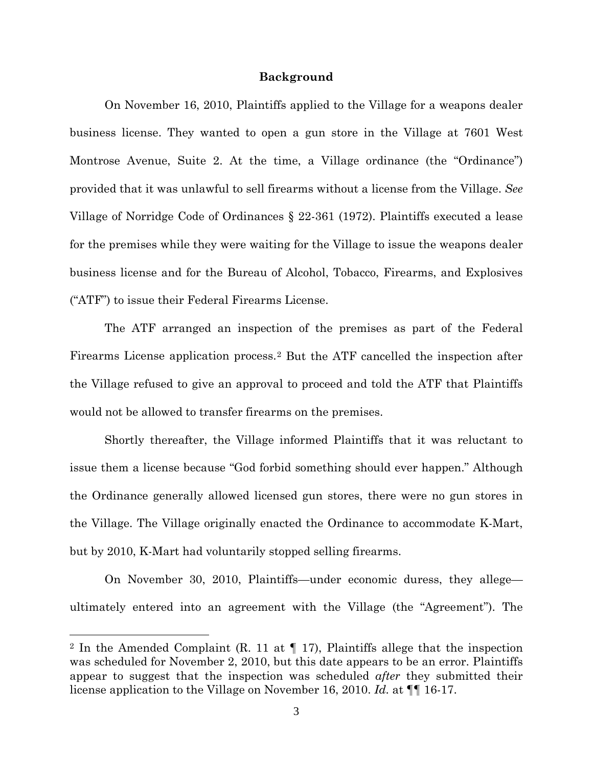## **Background**

On November 16, 2010, Plaintiffs applied to the Village for a weapons dealer business license. They wanted to open a gun store in the Village at 7601 West Montrose Avenue, Suite 2. At the time, a Village ordinance (the "Ordinance") provided that it was unlawful to sell firearms without a license from the Village. *See*  Village of Norridge Code of Ordinances § 22-361 (1972). Plaintiffs executed a lease for the premises while they were waiting for the Village to issue the weapons dealer business license and for the Bureau of Alcohol, Tobacco, Firearms, and Explosives ("ATF") to issue their Federal Firearms License.

The ATF arranged an inspection of the premises as part of the Federal Firearms License application process.[2](#page-2-0) But the ATF cancelled the inspection after the Village refused to give an approval to proceed and told the ATF that Plaintiffs would not be allowed to transfer firearms on the premises.

Shortly thereafter, the Village informed Plaintiffs that it was reluctant to issue them a license because "God forbid something should ever happen." Although the Ordinance generally allowed licensed gun stores, there were no gun stores in the Village. The Village originally enacted the Ordinance to accommodate K-Mart, but by 2010, K-Mart had voluntarily stopped selling firearms.

On November 30, 2010, Plaintiffs—under economic duress, they allege ultimately entered into an agreement with the Village (the "Agreement"). The

 $\overline{a}$ 

<span id="page-2-0"></span><sup>&</sup>lt;sup>2</sup> In the Amended Complaint (R. 11 at  $\P$  17), Plaintiffs allege that the inspection was scheduled for November 2, 2010, but this date appears to be an error. Plaintiffs appear to suggest that the inspection was scheduled *after* they submitted their license application to the Village on November 16, 2010. *Id.* at ¶¶ 16-17.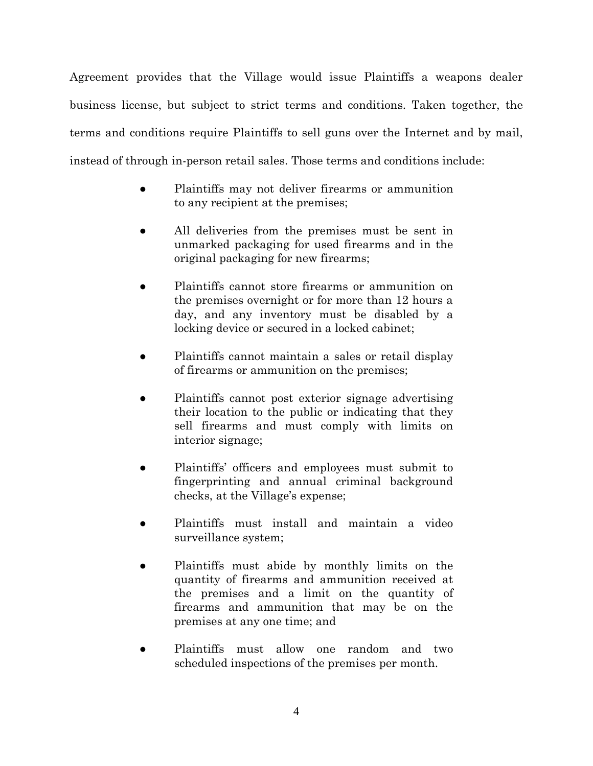Agreement provides that the Village would issue Plaintiffs a weapons dealer business license, but subject to strict terms and conditions. Taken together, the terms and conditions require Plaintiffs to sell guns over the Internet and by mail, instead of through in-person retail sales. Those terms and conditions include:

- Plaintiffs may not deliver firearms or ammunition to any recipient at the premises;
- All deliveries from the premises must be sent in unmarked packaging for used firearms and in the original packaging for new firearms;
- Plaintiffs cannot store firearms or ammunition on the premises overnight or for more than 12 hours a day, and any inventory must be disabled by a locking device or secured in a locked cabinet;
- Plaintiffs cannot maintain a sales or retail display of firearms or ammunition on the premises;
- Plaintiffs cannot post exterior signage advertising their location to the public or indicating that they sell firearms and must comply with limits on interior signage;
- Plaintiffs' officers and employees must submit to fingerprinting and annual criminal background checks, at the Village's expense;
- Plaintiffs must install and maintain a video surveillance system;
- Plaintiffs must abide by monthly limits on the quantity of firearms and ammunition received at the premises and a limit on the quantity of firearms and ammunition that may be on the premises at any one time; and
- Plaintiffs must allow one random and two scheduled inspections of the premises per month.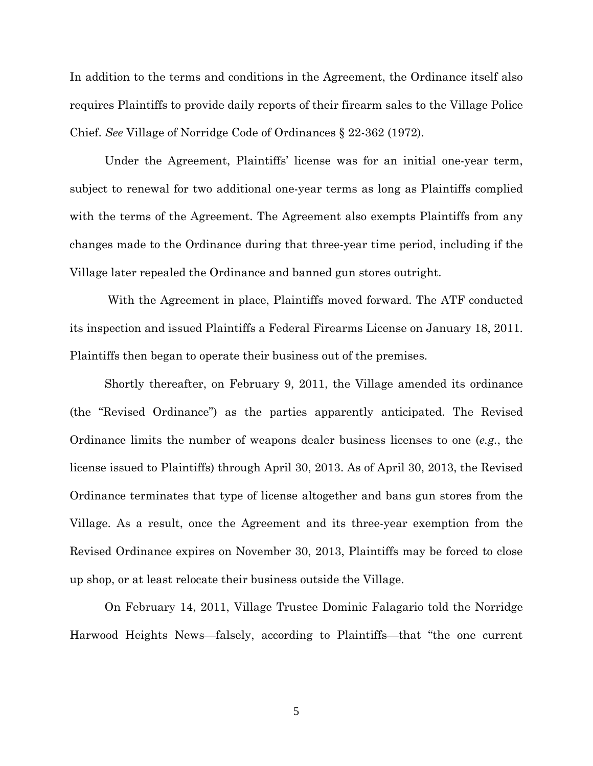In addition to the terms and conditions in the Agreement, the Ordinance itself also requires Plaintiffs to provide daily reports of their firearm sales to the Village Police Chief. *See* Village of Norridge Code of Ordinances § 22-362 (1972).

Under the Agreement, Plaintiffs' license was for an initial one-year term, subject to renewal for two additional one-year terms as long as Plaintiffs complied with the terms of the Agreement. The Agreement also exempts Plaintiffs from any changes made to the Ordinance during that three-year time period, including if the Village later repealed the Ordinance and banned gun stores outright.

With the Agreement in place, Plaintiffs moved forward. The ATF conducted its inspection and issued Plaintiffs a Federal Firearms License on January 18, 2011. Plaintiffs then began to operate their business out of the premises.

Shortly thereafter, on February 9, 2011, the Village amended its ordinance (the "Revised Ordinance") as the parties apparently anticipated. The Revised Ordinance limits the number of weapons dealer business licenses to one (*e.g.*, the license issued to Plaintiffs) through April 30, 2013. As of April 30, 2013, the Revised Ordinance terminates that type of license altogether and bans gun stores from the Village. As a result, once the Agreement and its three-year exemption from the Revised Ordinance expires on November 30, 2013, Plaintiffs may be forced to close up shop, or at least relocate their business outside the Village.

On February 14, 2011, Village Trustee Dominic Falagario told the Norridge Harwood Heights News—falsely, according to Plaintiffs—that "the one current

5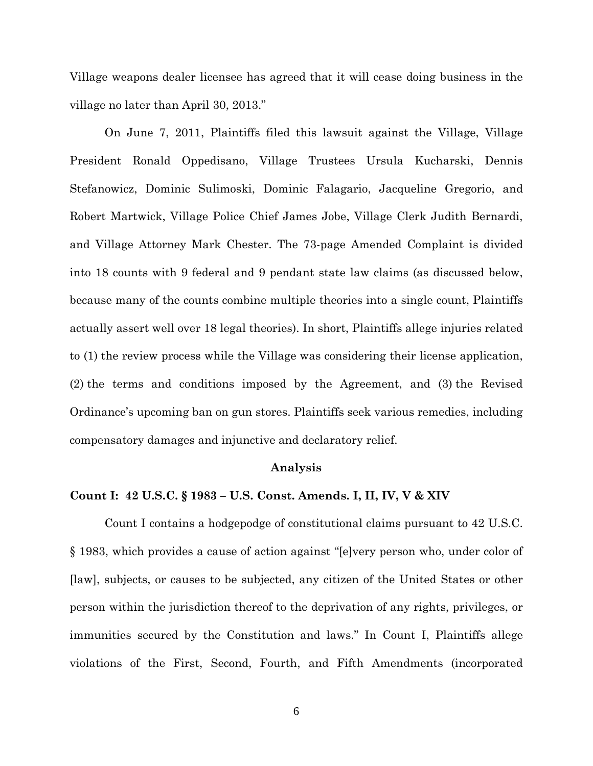Village weapons dealer licensee has agreed that it will cease doing business in the village no later than April 30, 2013."

On June 7, 2011, Plaintiffs filed this lawsuit against the Village, Village President Ronald Oppedisano, Village Trustees Ursula Kucharski, Dennis Stefanowicz, Dominic Sulimoski, Dominic Falagario, Jacqueline Gregorio, and Robert Martwick, Village Police Chief James Jobe, Village Clerk Judith Bernardi, and Village Attorney Mark Chester. The 73-page Amended Complaint is divided into 18 counts with 9 federal and 9 pendant state law claims (as discussed below, because many of the counts combine multiple theories into a single count, Plaintiffs actually assert well over 18 legal theories). In short, Plaintiffs allege injuries related to (1) the review process while the Village was considering their license application, (2) the terms and conditions imposed by the Agreement, and (3) the Revised Ordinance's upcoming ban on gun stores. Plaintiffs seek various remedies, including compensatory damages and injunctive and declaratory relief.

#### **Analysis**

## **Count I: 42 U.S.C. § 1983 – U.S. Const. Amends. I, II, IV, V & XIV**

Count I contains a hodgepodge of constitutional claims pursuant to 42 U.S.C. § 1983, which provides a cause of action against "[e]very person who, under color of [law], subjects, or causes to be subjected, any citizen of the United States or other person within the jurisdiction thereof to the deprivation of any rights, privileges, or immunities secured by the Constitution and laws." In Count I, Plaintiffs allege violations of the First, Second, Fourth, and Fifth Amendments (incorporated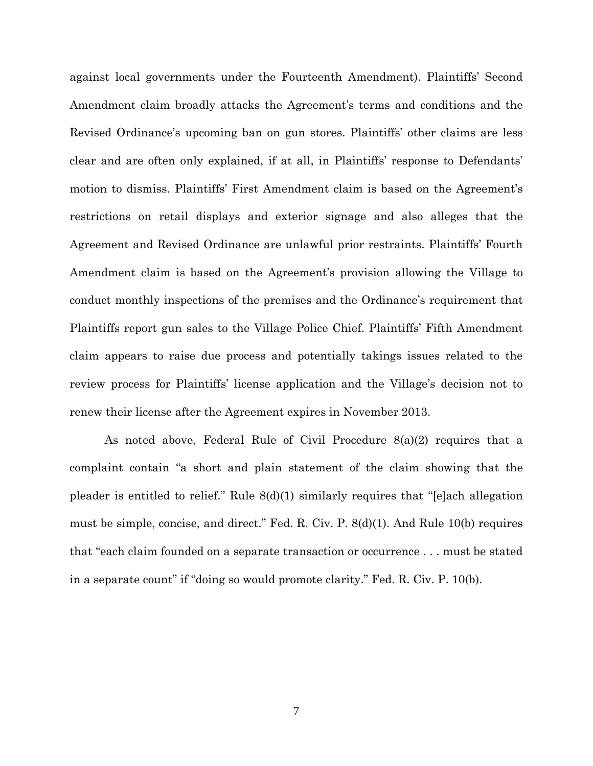against local governments under the Fourteenth Amendment). Plaintiffs' Second Amendment claim broadly attacks the Agreement's terms and conditions and the Revised Ordinance's upcoming ban on gun stores. Plaintiffs' other claims are less clear and are often only explained, if at all, in Plaintiffs' response to Defendants' motion to dismiss. Plaintiffs' First Amendment claim is based on the Agreement's restrictions on retail displays and exterior signage and also alleges that the Agreement and Revised Ordinance are unlawful prior restraints. Plaintiffs' Fourth Amendment claim is based on the Agreement's provision allowing the Village to conduct monthly inspections of the premises and the Ordinance's requirement that Plaintiffs report gun sales to the Village Police Chief. Plaintiffs' Fifth Amendment claim appears to raise due process and potentially takings issues related to the review process for Plaintiffs' license application and the Village's decision not to renew their license after the Agreement expires in November 2013.

As noted above, Federal Rule of Civil Procedure 8(a)(2) requires that a complaint contain "a short and plain statement of the claim showing that the pleader is entitled to relief." Rule 8(d)(1) similarly requires that "[e]ach allegation must be simple, concise, and direct." Fed. R. Civ. P. 8(d)(1). And Rule 10(b) requires that "each claim founded on a separate transaction or occurrence . . . must be stated in a separate count" if "doing so would promote clarity." Fed. R. Civ. P. 10(b).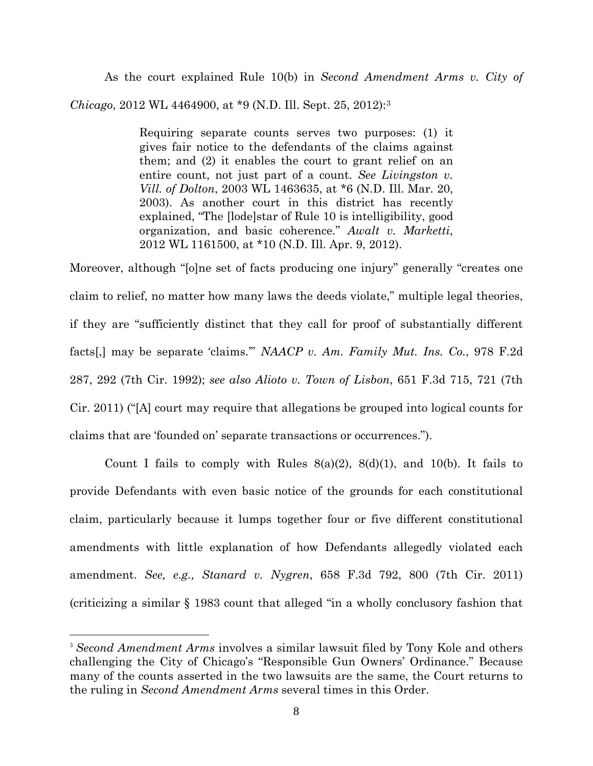As the court explained Rule 10(b) in *Second Amendment Arms v. City of Chicago*, 2012 WL 4464900, at \*9 (N.D. Ill. Sept. 25, 2012):[3](#page-7-0)

> Requiring separate counts serves two purposes: (1) it gives fair notice to the defendants of the claims against them; and (2) it enables the court to grant relief on an entire count, not just part of a count. *See Livingston v. Vill. of Dolton*, 2003 WL 1463635, at \*6 (N.D. Ill. Mar. 20, 2003). As another court in this district has recently explained, "The [lode]star of Rule 10 is intelligibility, good organization, and basic coherence." *Awalt v. Marketti*, 2012 WL 1161500, at \*10 (N.D. Ill. Apr. 9, 2012).

Moreover, although "[o]ne set of facts producing one injury" generally "creates one claim to relief, no matter how many laws the deeds violate," multiple legal theories, if they are "sufficiently distinct that they call for proof of substantially different facts[,] may be separate 'claims.'" *NAACP v. Am. Family Mut. Ins. Co.*, 978 F.2d 287, 292 (7th Cir. 1992); *see also Alioto v. Town of Lisbon*, 651 F.3d 715, 721 (7th Cir. 2011) ("[A] court may require that allegations be grouped into logical counts for claims that are 'founded on' separate transactions or occurrences.").

Count I fails to comply with Rules  $8(a)(2)$ ,  $8(d)(1)$ , and  $10(b)$ . It fails to provide Defendants with even basic notice of the grounds for each constitutional claim, particularly because it lumps together four or five different constitutional amendments with little explanation of how Defendants allegedly violated each amendment. *See, e.g., Stanard v. Nygren*, 658 F.3d 792, 800 (7th Cir. 2011) (criticizing a similar § 1983 count that alleged "in a wholly conclusory fashion that

<span id="page-7-0"></span> <sup>3</sup> *Second Amendment Arms* involves a similar lawsuit filed by Tony Kole and others challenging the City of Chicago's "Responsible Gun Owners' Ordinance." Because many of the counts asserted in the two lawsuits are the same, the Court returns to the ruling in *Second Amendment Arms* several times in this Order.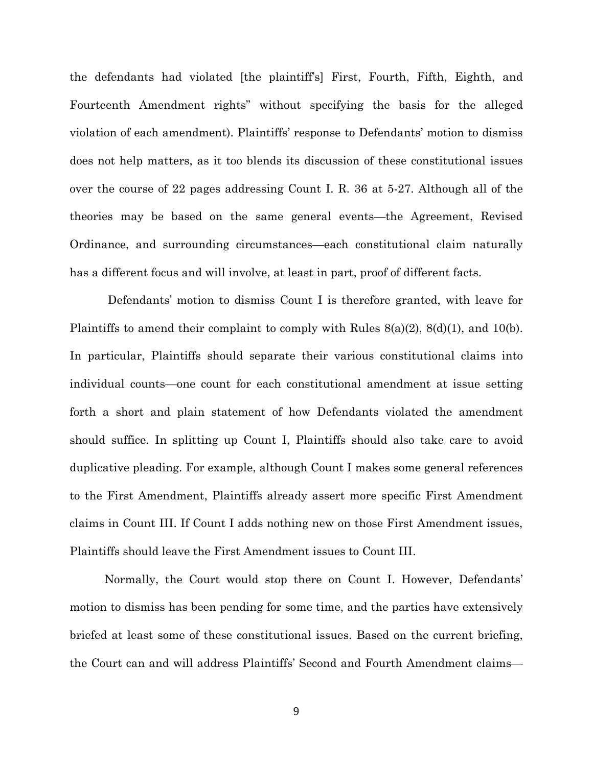the defendants had violated [the plaintiff's] First, Fourth, Fifth, Eighth, and Fourteenth Amendment rights" without specifying the basis for the alleged violation of each amendment). Plaintiffs' response to Defendants' motion to dismiss does not help matters, as it too blends its discussion of these constitutional issues over the course of 22 pages addressing Count I. R. 36 at 5-27. Although all of the theories may be based on the same general events—the Agreement, Revised Ordinance, and surrounding circumstances—each constitutional claim naturally has a different focus and will involve, at least in part, proof of different facts.

Defendants' motion to dismiss Count I is therefore granted, with leave for Plaintiffs to amend their complaint to comply with Rules 8(a)(2), 8(d)(1), and 10(b). In particular, Plaintiffs should separate their various constitutional claims into individual counts—one count for each constitutional amendment at issue setting forth a short and plain statement of how Defendants violated the amendment should suffice. In splitting up Count I, Plaintiffs should also take care to avoid duplicative pleading. For example, although Count I makes some general references to the First Amendment, Plaintiffs already assert more specific First Amendment claims in Count III. If Count I adds nothing new on those First Amendment issues, Plaintiffs should leave the First Amendment issues to Count III.

Normally, the Court would stop there on Count I. However, Defendants' motion to dismiss has been pending for some time, and the parties have extensively briefed at least some of these constitutional issues. Based on the current briefing, the Court can and will address Plaintiffs' Second and Fourth Amendment claims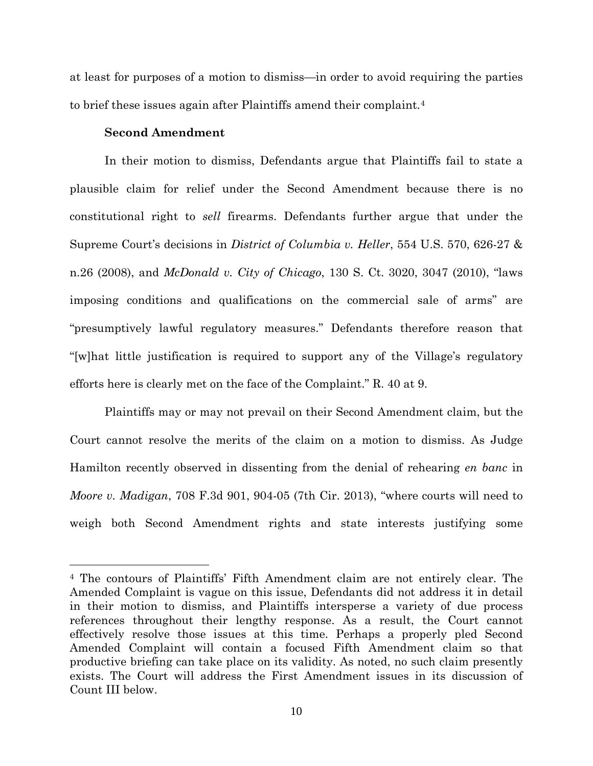at least for purposes of a motion to dismiss—in order to avoid requiring the parties to brief these issues again after Plaintiffs amend their complaint.[4](#page-9-0)

# **Second Amendment**

 $\overline{a}$ 

In their motion to dismiss, Defendants argue that Plaintiffs fail to state a plausible claim for relief under the Second Amendment because there is no constitutional right to *sell* firearms. Defendants further argue that under the Supreme Court's decisions in *District of Columbia v. Heller*, 554 U.S. 570, 626-27 & n.26 (2008), and *McDonald v. City of Chicago*, 130 S. Ct. 3020, 3047 (2010), "laws imposing conditions and qualifications on the commercial sale of arms" are "presumptively lawful regulatory measures." Defendants therefore reason that "[w]hat little justification is required to support any of the Village's regulatory efforts here is clearly met on the face of the Complaint." R. 40 at 9.

Plaintiffs may or may not prevail on their Second Amendment claim, but the Court cannot resolve the merits of the claim on a motion to dismiss. As Judge Hamilton recently observed in dissenting from the denial of rehearing *en banc* in *Moore v. Madigan*, 708 F.3d 901, 904-05 (7th Cir. 2013), "where courts will need to weigh both Second Amendment rights and state interests justifying some

<span id="page-9-0"></span><sup>4</sup> The contours of Plaintiffs' Fifth Amendment claim are not entirely clear. The Amended Complaint is vague on this issue, Defendants did not address it in detail in their motion to dismiss, and Plaintiffs intersperse a variety of due process references throughout their lengthy response. As a result, the Court cannot effectively resolve those issues at this time. Perhaps a properly pled Second Amended Complaint will contain a focused Fifth Amendment claim so that productive briefing can take place on its validity. As noted, no such claim presently exists. The Court will address the First Amendment issues in its discussion of Count III below.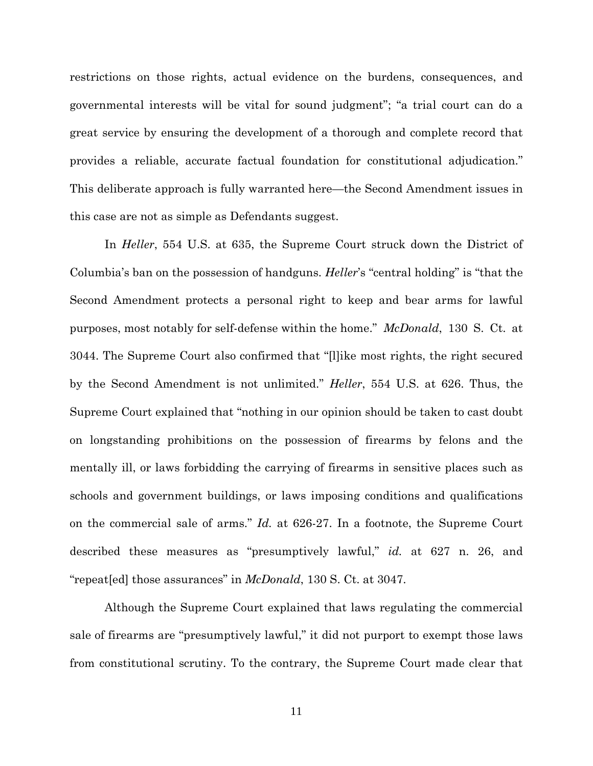restrictions on those rights, actual evidence on the burdens, consequences, and governmental interests will be vital for sound judgment"; "a trial court can do a great service by ensuring the development of a thorough and complete record that provides a reliable, accurate factual foundation for constitutional adjudication." This deliberate approach is fully warranted here—the Second Amendment issues in this case are not as simple as Defendants suggest.

In *Heller*, 554 U.S. at 635, the Supreme Court struck down the District of Columbia's ban on the possession of handguns. *Heller*'s "central holding" is "that the Second Amendment protects a personal right to keep and bear arms for lawful purposes, most notably for self-defense within the home." *McDonald*, 130 S. Ct. at 3044. The Supreme Court also confirmed that "[l]ike most rights, the right secured by the Second Amendment is not unlimited." *Heller*, 554 U.S. at 626. Thus, the Supreme Court explained that "nothing in our opinion should be taken to cast doubt on longstanding prohibitions on the possession of firearms by felons and the mentally ill, or laws forbidding the carrying of firearms in sensitive places such as schools and government buildings, or laws imposing conditions and qualifications on the commercial sale of arms." *Id.* at 626-27. In a footnote, the Supreme Court described these measures as "presumptively lawful," *id.* at 627 n. 26, and "repeat[ed] those assurances" in *McDonald*, 130 S. Ct. at 3047.

Although the Supreme Court explained that laws regulating the commercial sale of firearms are "presumptively lawful," it did not purport to exempt those laws from constitutional scrutiny. To the contrary, the Supreme Court made clear that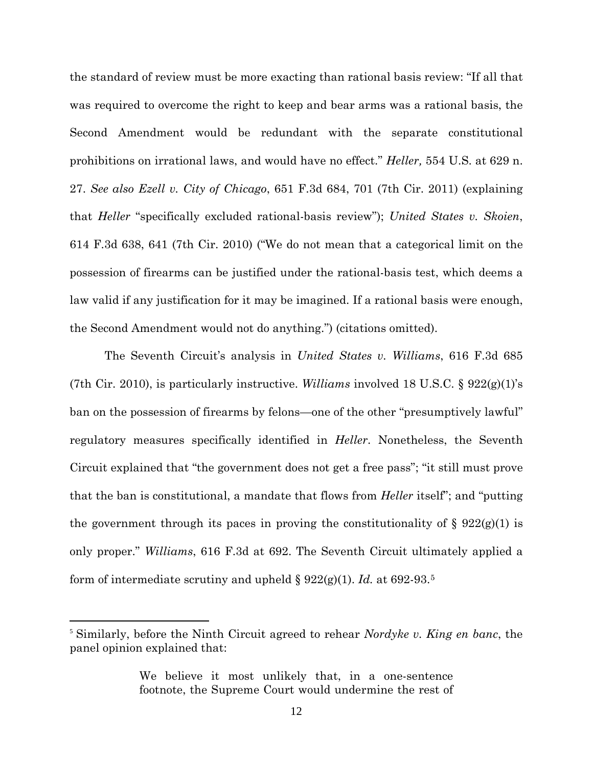the standard of review must be more exacting than rational basis review: "If all that was required to overcome the right to keep and bear arms was a rational basis, the Second Amendment would be redundant with the separate constitutional prohibitions on irrational laws, and would have no effect." *Heller,* 554 U.S. at 629 n. 27. *See also Ezell v. City of Chicago*, 651 F.3d 684, 701 (7th Cir. 2011) (explaining that *Heller* "specifically excluded rational-basis review"); *United States v. Skoien*, 614 F.3d 638, 641 (7th Cir. 2010) ("We do not mean that a categorical limit on the possession of firearms can be justified under the rational-basis test, which deems a law valid if any justification for it may be imagined. If a rational basis were enough, the Second Amendment would not do anything.") (citations omitted).

The Seventh Circuit's analysis in *United States v. Williams*, 616 F.3d 685 (7th Cir. 2010), is particularly instructive. *Williams* involved 18 U.S.C. § 922(g)(1)'s ban on the possession of firearms by felons—one of the other "presumptively lawful" regulatory measures specifically identified in *Heller*. Nonetheless, the Seventh Circuit explained that "the government does not get a free pass"; "it still must prove that the ban is constitutional, a mandate that flows from *Heller* itself"; and "putting the government through its paces in proving the constitutionality of  $\S 922(g)(1)$  is only proper." *Williams*, 616 F.3d at 692. The Seventh Circuit ultimately applied a form of intermediate scrutiny and upheld § 922(g)(1). *Id.* at 692-93.[5](#page-11-0)

<span id="page-11-0"></span> <sup>5</sup> Similarly, before the Ninth Circuit agreed to rehear *Nordyke v. King en banc*, the panel opinion explained that:

We believe it most unlikely that, in a one-sentence footnote, the Supreme Court would undermine the rest of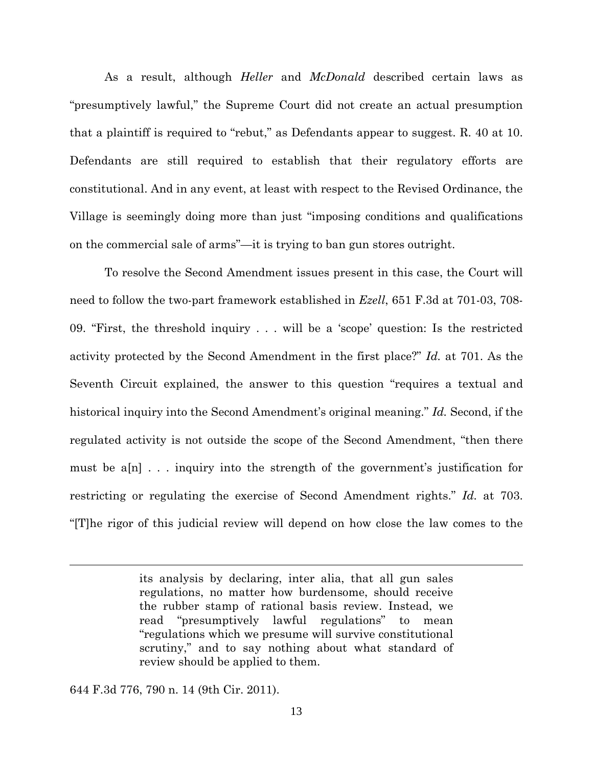As a result, although *Heller* and *McDonald* described certain laws as "presumptively lawful," the Supreme Court did not create an actual presumption that a plaintiff is required to "rebut," as Defendants appear to suggest. R. 40 at 10. Defendants are still required to establish that their regulatory efforts are constitutional. And in any event, at least with respect to the Revised Ordinance, the Village is seemingly doing more than just "imposing conditions and qualifications on the commercial sale of arms"—it is trying to ban gun stores outright.

To resolve the Second Amendment issues present in this case, the Court will need to follow the two-part framework established in *Ezell*, 651 F.3d at 701-03, 708- 09. "First, the threshold inquiry . . . will be a 'scope' question: Is the restricted activity protected by the Second Amendment in the first place?" *Id.* at 701. As the Seventh Circuit explained, the answer to this question "requires a textual and historical inquiry into the Second Amendment's original meaning." *Id.* Second, if the regulated activity is not outside the scope of the Second Amendment, "then there must be a[n] . . . inquiry into the strength of the government's justification for restricting or regulating the exercise of Second Amendment rights." *Id.* at 703. "[T]he rigor of this judicial review will depend on how close the law comes to the

> its analysis by declaring, inter alia, that all gun sales regulations, no matter how burdensome, should receive the rubber stamp of rational basis review. Instead, we read "presumptively lawful regulations" to mean "regulations which we presume will survive constitutional scrutiny," and to say nothing about what standard of review should be applied to them.

644 F.3d 776, 790 n. 14 (9th Cir. 2011).

 $\overline{a}$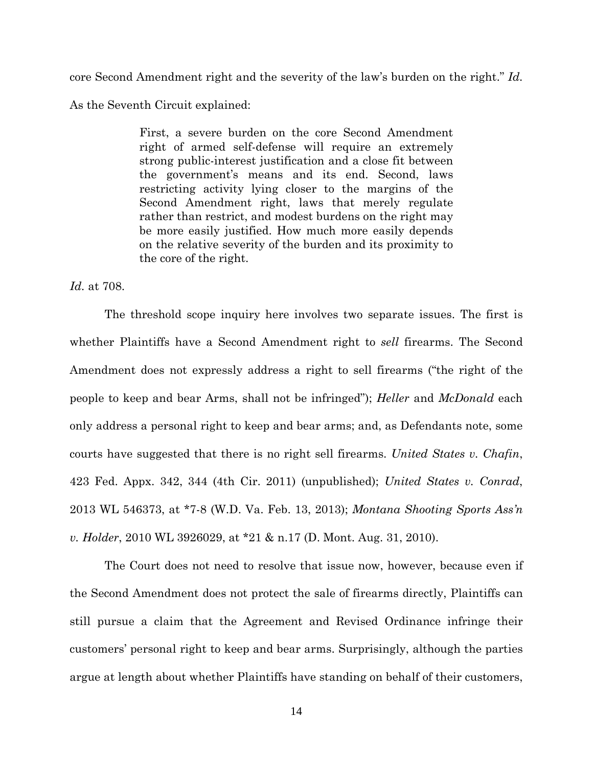core Second Amendment right and the severity of the law's burden on the right." *Id.* As the Seventh Circuit explained:

> First, a severe burden on the core Second Amendment right of armed self-defense will require an extremely strong public-interest justification and a close fit between the government's means and its end. Second, laws restricting activity lying closer to the margins of the Second Amendment right, laws that merely regulate rather than restrict, and modest burdens on the right may be more easily justified. How much more easily depends on the relative severity of the burden and its proximity to the core of the right.

*Id.* at 708.

The threshold scope inquiry here involves two separate issues. The first is whether Plaintiffs have a Second Amendment right to *sell* firearms. The Second Amendment does not expressly address a right to sell firearms ("the right of the people to keep and bear Arms, shall not be infringed"); *Heller* and *McDonald* each only address a personal right to keep and bear arms; and, as Defendants note, some courts have suggested that there is no right sell firearms. *United States v. Chafin*, 423 Fed. Appx. 342, 344 (4th Cir. 2011) (unpublished); *United States v. Conrad*, 2013 WL 546373, at \*7-8 (W.D. Va. Feb. 13, 2013); *Montana Shooting Sports Ass'n v. Holder*, 2010 WL 3926029, at \*21 & n.17 (D. Mont. Aug. 31, 2010).

The Court does not need to resolve that issue now, however, because even if the Second Amendment does not protect the sale of firearms directly, Plaintiffs can still pursue a claim that the Agreement and Revised Ordinance infringe their customers' personal right to keep and bear arms. Surprisingly, although the parties argue at length about whether Plaintiffs have standing on behalf of their customers,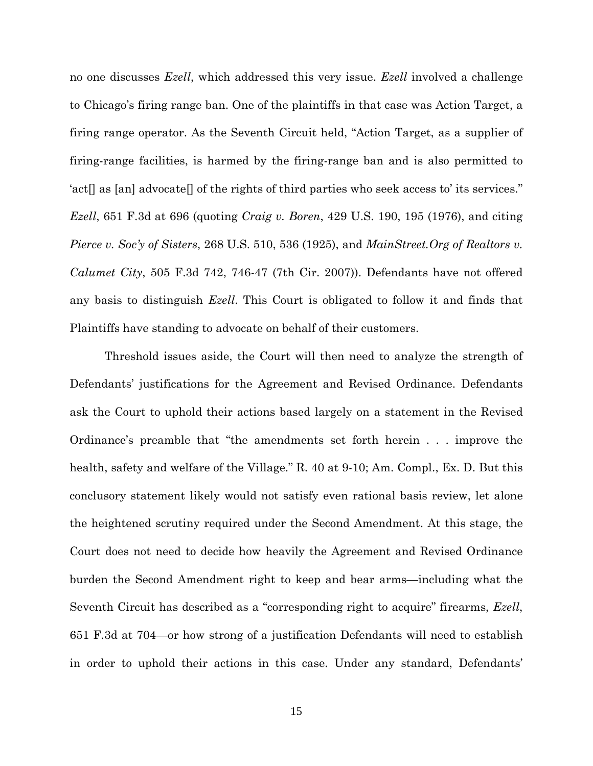no one discusses *Ezell*, which addressed this very issue. *Ezell* involved a challenge to Chicago's firing range ban. One of the plaintiffs in that case was Action Target, a firing range operator. As the Seventh Circuit held, "Action Target, as a supplier of firing-range facilities, is harmed by the firing-range ban and is also permitted to 'act[] as [an] advocate[] of the rights of third parties who seek access to' its services." *Ezell*, 651 F.3d at 696 (quoting *Craig v. Boren*, 429 U.S. 190, 195 (1976), and citing *Pierce v. Soc'y of Sisters*, 268 U.S. 510, 536 (1925), and *MainStreet.Org of Realtors v. Calumet City*, 505 F.3d 742, 746-47 (7th Cir. 2007)). Defendants have not offered any basis to distinguish *Ezell*. This Court is obligated to follow it and finds that Plaintiffs have standing to advocate on behalf of their customers.

Threshold issues aside, the Court will then need to analyze the strength of Defendants' justifications for the Agreement and Revised Ordinance. Defendants ask the Court to uphold their actions based largely on a statement in the Revised Ordinance's preamble that "the amendments set forth herein . . . improve the health, safety and welfare of the Village." R. 40 at 9-10; Am. Compl., Ex. D. But this conclusory statement likely would not satisfy even rational basis review, let alone the heightened scrutiny required under the Second Amendment. At this stage, the Court does not need to decide how heavily the Agreement and Revised Ordinance burden the Second Amendment right to keep and bear arms—including what the Seventh Circuit has described as a "corresponding right to acquire" firearms, *Ezell*, 651 F.3d at 704—or how strong of a justification Defendants will need to establish in order to uphold their actions in this case. Under any standard, Defendants'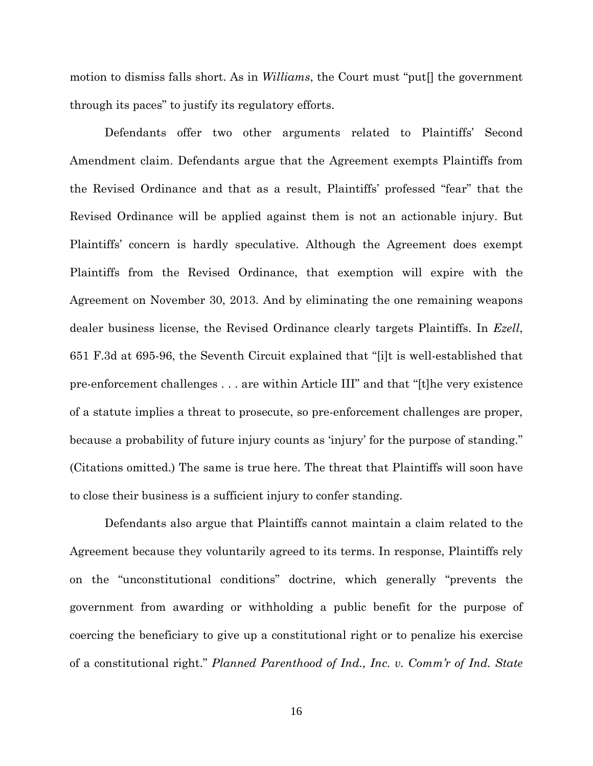motion to dismiss falls short. As in *Williams*, the Court must "put[] the government through its paces" to justify its regulatory efforts.

Defendants offer two other arguments related to Plaintiffs' Second Amendment claim. Defendants argue that the Agreement exempts Plaintiffs from the Revised Ordinance and that as a result, Plaintiffs' professed "fear" that the Revised Ordinance will be applied against them is not an actionable injury. But Plaintiffs' concern is hardly speculative. Although the Agreement does exempt Plaintiffs from the Revised Ordinance, that exemption will expire with the Agreement on November 30, 2013. And by eliminating the one remaining weapons dealer business license, the Revised Ordinance clearly targets Plaintiffs. In *Ezell*, 651 F.3d at 695-96, the Seventh Circuit explained that "[i]t is well-established that pre-enforcement challenges . . . are within Article III" and that "[t]he very existence of a statute implies a threat to prosecute, so pre-enforcement challenges are proper, because a probability of future injury counts as 'injury' for the purpose of standing." (Citations omitted.) The same is true here. The threat that Plaintiffs will soon have to close their business is a sufficient injury to confer standing.

Defendants also argue that Plaintiffs cannot maintain a claim related to the Agreement because they voluntarily agreed to its terms. In response, Plaintiffs rely on the "unconstitutional conditions" doctrine, which generally "prevents the government from awarding or withholding a public benefit for the purpose of coercing the beneficiary to give up a constitutional right or to penalize his exercise of a constitutional right." *Planned Parenthood of Ind., Inc. v. Comm'r of Ind. State*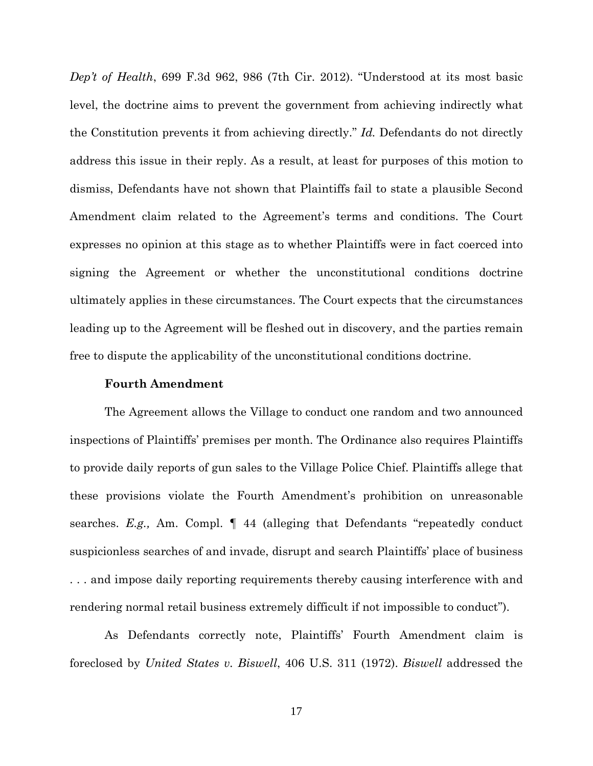*Dep't of Health*, 699 F.3d 962, 986 (7th Cir. 2012). "Understood at its most basic level, the doctrine aims to prevent the government from achieving indirectly what the Constitution prevents it from achieving directly." *Id.* Defendants do not directly address this issue in their reply. As a result, at least for purposes of this motion to dismiss, Defendants have not shown that Plaintiffs fail to state a plausible Second Amendment claim related to the Agreement's terms and conditions. The Court expresses no opinion at this stage as to whether Plaintiffs were in fact coerced into signing the Agreement or whether the unconstitutional conditions doctrine ultimately applies in these circumstances. The Court expects that the circumstances leading up to the Agreement will be fleshed out in discovery, and the parties remain free to dispute the applicability of the unconstitutional conditions doctrine.

#### **Fourth Amendment**

The Agreement allows the Village to conduct one random and two announced inspections of Plaintiffs' premises per month. The Ordinance also requires Plaintiffs to provide daily reports of gun sales to the Village Police Chief. Plaintiffs allege that these provisions violate the Fourth Amendment's prohibition on unreasonable searches. *E.g.,* Am. Compl. ¶ 44 (alleging that Defendants "repeatedly conduct suspicionless searches of and invade, disrupt and search Plaintiffs' place of business . . . and impose daily reporting requirements thereby causing interference with and rendering normal retail business extremely difficult if not impossible to conduct").

As Defendants correctly note, Plaintiffs' Fourth Amendment claim is foreclosed by *United States v. Biswell*, 406 U.S. 311 (1972). *Biswell* addressed the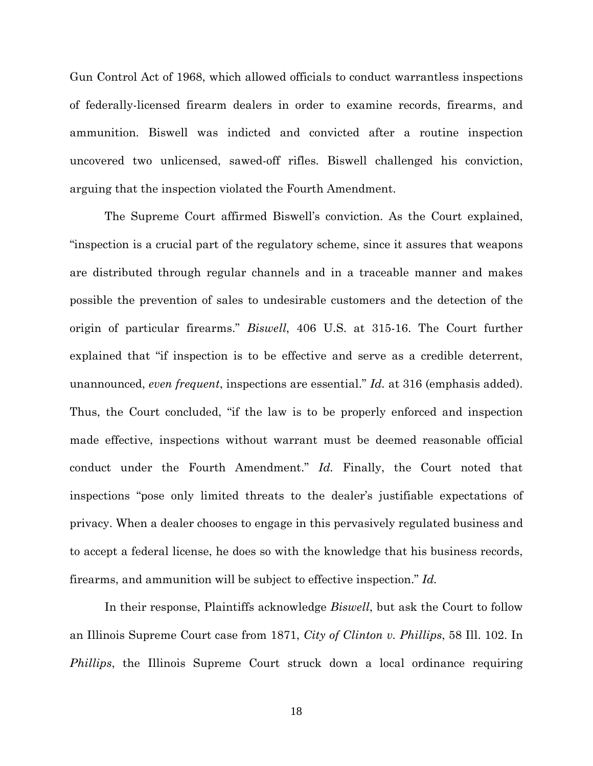Gun Control Act of 1968, which allowed officials to conduct warrantless inspections of federally-licensed firearm dealers in order to examine records, firearms, and ammunition. Biswell was indicted and convicted after a routine inspection uncovered two unlicensed, sawed-off rifles. Biswell challenged his conviction, arguing that the inspection violated the Fourth Amendment.

The Supreme Court affirmed Biswell's conviction. As the Court explained, "inspection is a crucial part of the regulatory scheme, since it assures that weapons are distributed through regular channels and in a traceable manner and makes possible the prevention of sales to undesirable customers and the detection of the origin of particular firearms." *Biswell*, 406 U.S. at 315-16. The Court further explained that "if inspection is to be effective and serve as a credible deterrent, unannounced, *even frequent*, inspections are essential." *Id.* at 316 (emphasis added). Thus, the Court concluded, "if the law is to be properly enforced and inspection made effective, inspections without warrant must be deemed reasonable official conduct under the Fourth Amendment." *Id.* Finally, the Court noted that inspections "pose only limited threats to the dealer's justifiable expectations of privacy. When a dealer chooses to engage in this pervasively regulated business and to accept a federal license, he does so with the knowledge that his business records, firearms, and ammunition will be subject to effective inspection." *Id.*

In their response, Plaintiffs acknowledge *Biswell*, but ask the Court to follow an Illinois Supreme Court case from 1871, *City of Clinton v. Phillips*, 58 Ill. 102. In *Phillips*, the Illinois Supreme Court struck down a local ordinance requiring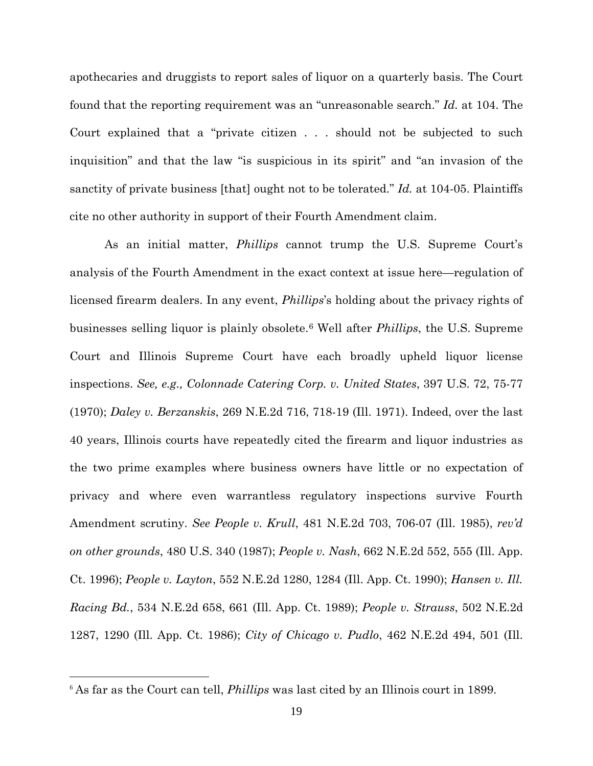apothecaries and druggists to report sales of liquor on a quarterly basis. The Court found that the reporting requirement was an "unreasonable search." *Id.* at 104. The Court explained that a "private citizen . . . should not be subjected to such inquisition" and that the law "is suspicious in its spirit" and "an invasion of the sanctity of private business [that] ought not to be tolerated." *Id.* at 104-05. Plaintiffs cite no other authority in support of their Fourth Amendment claim.

As an initial matter, *Phillips* cannot trump the U.S. Supreme Court's analysis of the Fourth Amendment in the exact context at issue here—regulation of licensed firearm dealers. In any event, *Phillips*'s holding about the privacy rights of businesses selling liquor is plainly obsolete.[6](#page-18-0) Well after *Phillips*, the U.S. Supreme Court and Illinois Supreme Court have each broadly upheld liquor license inspections. *See, e.g., Colonnade Catering Corp. v. United States*, 397 U.S. 72, 75-77 (1970); *Daley v. Berzanskis*, 269 N.E.2d 716, 718-19 (Ill. 1971). Indeed, over the last 40 years, Illinois courts have repeatedly cited the firearm and liquor industries as the two prime examples where business owners have little or no expectation of privacy and where even warrantless regulatory inspections survive Fourth Amendment scrutiny. *See People v. Krull*, 481 N.E.2d 703, 706-07 (Ill. 1985), *rev'd on other grounds*, 480 U.S. 340 (1987); *People v. Nash*, 662 N.E.2d 552, 555 (Ill. App. Ct. 1996); *People v. Layton*, 552 N.E.2d 1280, 1284 (Ill. App. Ct. 1990); *Hansen v. Ill. Racing Bd.*, 534 N.E.2d 658, 661 (Ill. App. Ct. 1989); *People v. Strauss*, 502 N.E.2d 1287, 1290 (Ill. App. Ct. 1986); *City of Chicago v. Pudlo*, 462 N.E.2d 494, 501 (Ill.

<span id="page-18-0"></span> <sup>6</sup> As far as the Court can tell, *Phillips* was last cited by an Illinois court in 1899.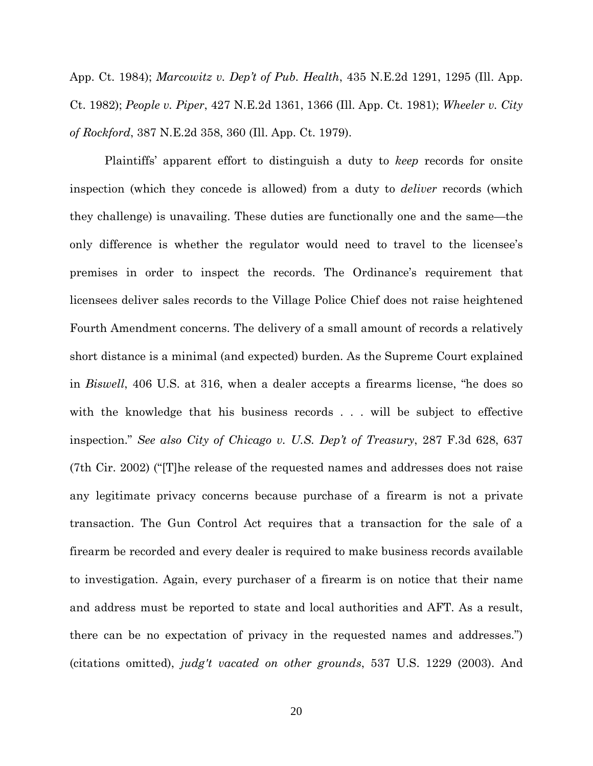App. Ct. 1984); *Marcowitz v. Dep't of Pub. Health*, 435 N.E.2d 1291, 1295 (Ill. App. Ct. 1982); *People v. Piper*, 427 N.E.2d 1361, 1366 (Ill. App. Ct. 1981); *Wheeler v. City of Rockford*, 387 N.E.2d 358, 360 (Ill. App. Ct. 1979).

Plaintiffs' apparent effort to distinguish a duty to *keep* records for onsite inspection (which they concede is allowed) from a duty to *deliver* records (which they challenge) is unavailing. These duties are functionally one and the same—the only difference is whether the regulator would need to travel to the licensee's premises in order to inspect the records. The Ordinance's requirement that licensees deliver sales records to the Village Police Chief does not raise heightened Fourth Amendment concerns. The delivery of a small amount of records a relatively short distance is a minimal (and expected) burden. As the Supreme Court explained in *Biswell*, 406 U.S. at 316, when a dealer accepts a firearms license, "he does so with the knowledge that his business records . . . will be subject to effective inspection." *See also City of Chicago v. U.S. Dep't of Treasury*, 287 F.3d 628, 637 (7th Cir. 2002) ("[T]he release of the requested names and addresses does not raise any legitimate privacy concerns because purchase of a firearm is not a private transaction. The Gun Control Act requires that a transaction for the sale of a firearm be recorded and every dealer is required to make business records available to investigation. Again, every purchaser of a firearm is on notice that their name and address must be reported to state and local authorities and AFT. As a result, there can be no expectation of privacy in the requested names and addresses.") (citations omitted), *judg't vacated on other grounds*, 537 U.S. 1229 (2003). And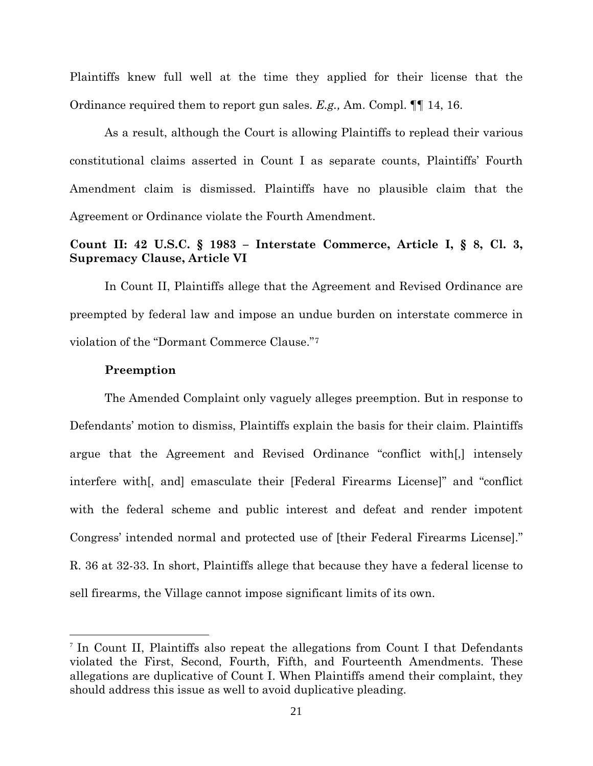Plaintiffs knew full well at the time they applied for their license that the Ordinance required them to report gun sales. *E.g.,* Am. Compl. ¶¶ 14, 16.

As a result, although the Court is allowing Plaintiffs to replead their various constitutional claims asserted in Count I as separate counts, Plaintiffs' Fourth Amendment claim is dismissed. Plaintiffs have no plausible claim that the Agreement or Ordinance violate the Fourth Amendment.

# **Count II: 42 U.S.C. § 1983 – Interstate Commerce, Article I, § 8, Cl. 3, Supremacy Clause, Article VI**

In Count II, Plaintiffs allege that the Agreement and Revised Ordinance are preempted by federal law and impose an undue burden on interstate commerce in violation of the "Dormant Commerce Clause."[7](#page-20-0)

#### **Preemption**

The Amended Complaint only vaguely alleges preemption. But in response to Defendants' motion to dismiss, Plaintiffs explain the basis for their claim. Plaintiffs argue that the Agreement and Revised Ordinance "conflict with[,] intensely interfere with[, and] emasculate their [Federal Firearms License]" and "conflict with the federal scheme and public interest and defeat and render impotent Congress' intended normal and protected use of [their Federal Firearms License]." R. 36 at 32-33. In short, Plaintiffs allege that because they have a federal license to sell firearms, the Village cannot impose significant limits of its own.

<span id="page-20-0"></span> <sup>7</sup> In Count II, Plaintiffs also repeat the allegations from Count I that Defendants violated the First, Second, Fourth, Fifth, and Fourteenth Amendments. These allegations are duplicative of Count I. When Plaintiffs amend their complaint, they should address this issue as well to avoid duplicative pleading.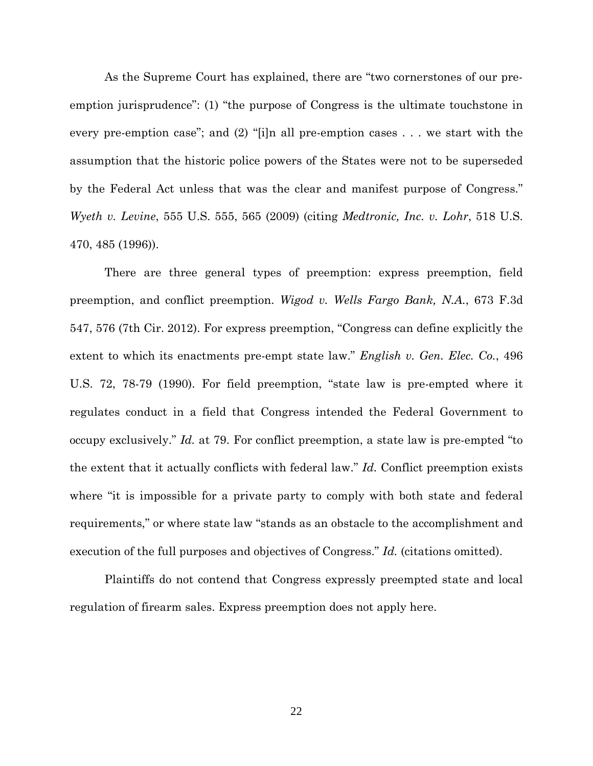As the Supreme Court has explained, there are "two cornerstones of our preemption jurisprudence": (1) "the purpose of Congress is the ultimate touchstone in every pre-emption case"; and (2) "[i]n all pre-emption cases . . . we start with the assumption that the historic police powers of the States were not to be superseded by the Federal Act unless that was the clear and manifest purpose of Congress." *Wyeth v. Levine*, 555 U.S. 555, 565 (2009) (citing *Medtronic, Inc. v. Lohr*, 518 U.S. 470, 485 (1996)).

There are three general types of preemption: express preemption, field preemption, and conflict preemption. *Wigod v. Wells Fargo Bank, N.A.*, 673 F.3d 547, 576 (7th Cir. 2012). For express preemption, "Congress can define explicitly the extent to which its enactments pre-empt state law." *English v. Gen. Elec. Co.*, 496 U.S. 72, 78-79 (1990). For field preemption, "state law is pre-empted where it regulates conduct in a field that Congress intended the Federal Government to occupy exclusively." *Id.* at 79. For conflict preemption, a state law is pre-empted "to the extent that it actually conflicts with federal law." *Id.* Conflict preemption exists where "it is impossible for a private party to comply with both state and federal requirements," or where state law "stands as an obstacle to the accomplishment and execution of the full purposes and objectives of Congress." *Id.* (citations omitted).

Plaintiffs do not contend that Congress expressly preempted state and local regulation of firearm sales. Express preemption does not apply here.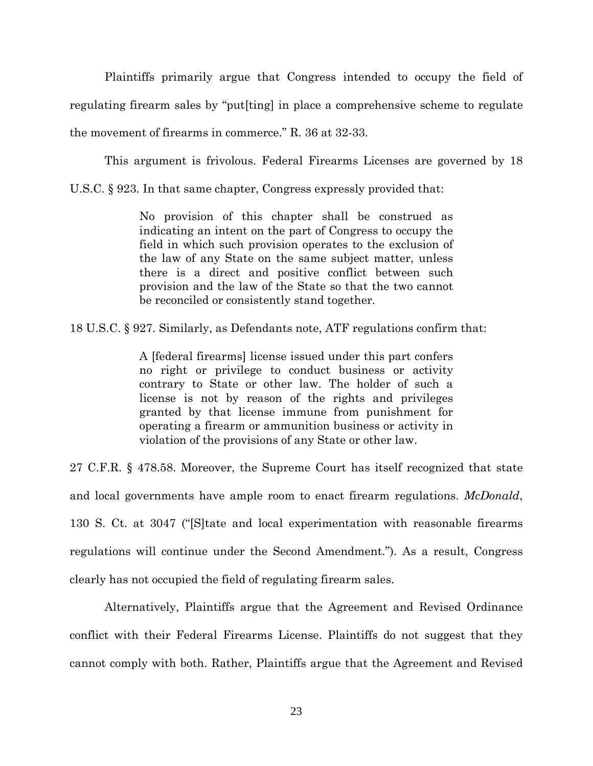Plaintiffs primarily argue that Congress intended to occupy the field of regulating firearm sales by "put[ting] in place a comprehensive scheme to regulate the movement of firearms in commerce." R. 36 at 32-33.

This argument is frivolous. Federal Firearms Licenses are governed by 18

U.S.C. § 923. In that same chapter, Congress expressly provided that:

No provision of this chapter shall be construed as indicating an intent on the part of Congress to occupy the field in which such provision operates to the exclusion of the law of any State on the same subject matter, unless there is a direct and positive conflict between such provision and the law of the State so that the two cannot be reconciled or consistently stand together.

18 U.S.C. § 927. Similarly, as Defendants note, ATF regulations confirm that:

A [federal firearms] license issued under this part confers no right or privilege to conduct business or activity contrary to State or other law. The holder of such a license is not by reason of the rights and privileges granted by that license immune from punishment for operating a firearm or ammunition business or activity in violation of the provisions of any State or other law.

27 C.F.R. § 478.58. Moreover, the Supreme Court has itself recognized that state and local governments have ample room to enact firearm regulations. *McDonald*, 130 S. Ct. at 3047 ("[S]tate and local experimentation with reasonable firearms regulations will continue under the Second Amendment."). As a result, Congress clearly has not occupied the field of regulating firearm sales.

Alternatively, Plaintiffs argue that the Agreement and Revised Ordinance conflict with their Federal Firearms License. Plaintiffs do not suggest that they cannot comply with both. Rather, Plaintiffs argue that the Agreement and Revised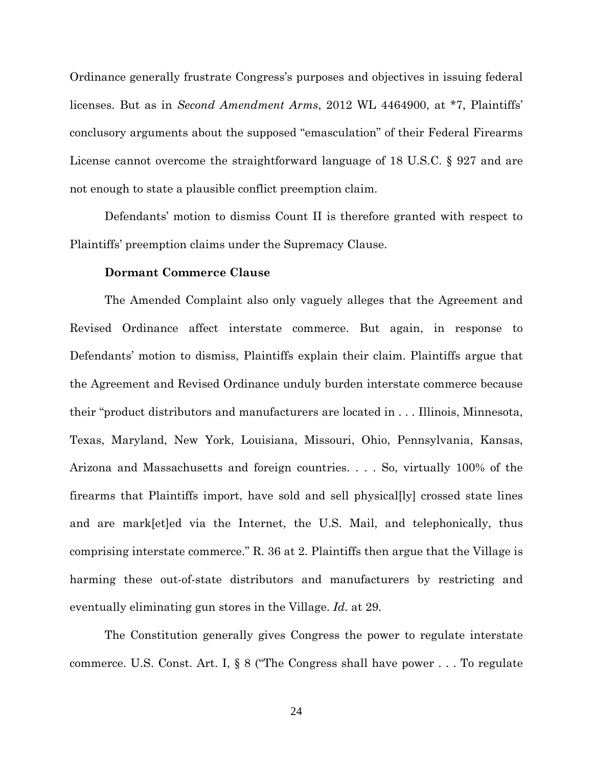Ordinance generally frustrate Congress's purposes and objectives in issuing federal licenses. But as in *Second Amendment Arms*, 2012 WL 4464900, at \*7, Plaintiffs' conclusory arguments about the supposed "emasculation" of their Federal Firearms License cannot overcome the straightforward language of 18 U.S.C. § 927 and are not enough to state a plausible conflict preemption claim.

Defendants' motion to dismiss Count II is therefore granted with respect to Plaintiffs' preemption claims under the Supremacy Clause.

# **Dormant Commerce Clause**

The Amended Complaint also only vaguely alleges that the Agreement and Revised Ordinance affect interstate commerce. But again, in response to Defendants' motion to dismiss, Plaintiffs explain their claim. Plaintiffs argue that the Agreement and Revised Ordinance unduly burden interstate commerce because their "product distributors and manufacturers are located in . . . Illinois, Minnesota, Texas, Maryland, New York, Louisiana, Missouri, Ohio, Pennsylvania, Kansas, Arizona and Massachusetts and foreign countries. . . . So, virtually 100% of the firearms that Plaintiffs import, have sold and sell physical[ly] crossed state lines and are mark[et]ed via the Internet, the U.S. Mail, and telephonically, thus comprising interstate commerce." R. 36 at 2. Plaintiffs then argue that the Village is harming these out-of-state distributors and manufacturers by restricting and eventually eliminating gun stores in the Village. *Id.* at 29.

The Constitution generally gives Congress the power to regulate interstate commerce. U.S. Const. Art. I, § 8 ("The Congress shall have power . . . To regulate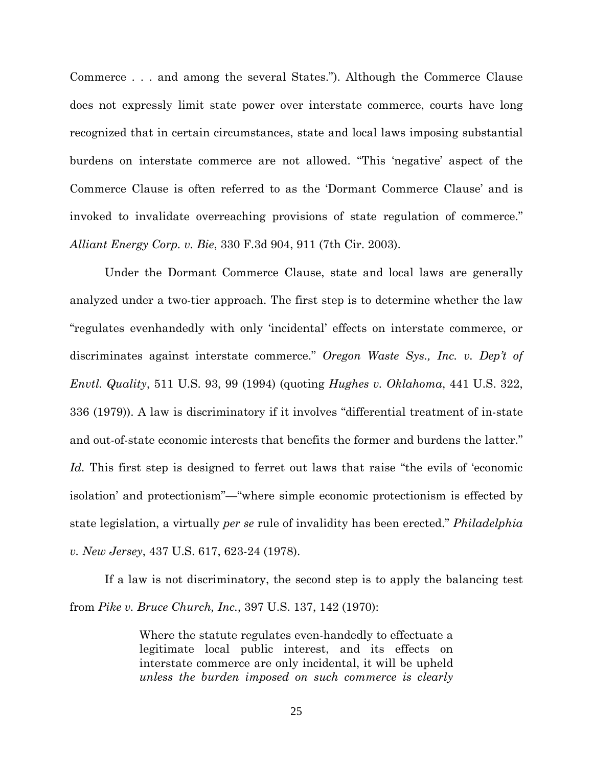Commerce . . . and among the several States."). Although the Commerce Clause does not expressly limit state power over interstate commerce, courts have long recognized that in certain circumstances, state and local laws imposing substantial burdens on interstate commerce are not allowed. "This 'negative' aspect of the Commerce Clause is often referred to as the 'Dormant Commerce Clause' and is invoked to invalidate overreaching provisions of state regulation of commerce." *Alliant Energy Corp. v. Bie*, 330 F.3d 904, 911 (7th Cir. 2003).

Under the Dormant Commerce Clause, state and local laws are generally analyzed under a two-tier approach. The first step is to determine whether the law "regulates evenhandedly with only 'incidental' effects on interstate commerce, or discriminates against interstate commerce." *Oregon Waste Sys., Inc. v. Dep't of Envtl. Quality*, 511 U.S. 93, 99 (1994) (quoting *Hughes v. Oklahoma*, 441 U.S. 322, 336 (1979)). A law is discriminatory if it involves "differential treatment of in-state and out-of-state economic interests that benefits the former and burdens the latter." Id. This first step is designed to ferret out laws that raise "the evils of 'economic isolation' and protectionism"—"where simple economic protectionism is effected by state legislation, a virtually *per se* rule of invalidity has been erected." *Philadelphia v. New Jersey*, 437 U.S. 617, 623-24 (1978).

If a law is not discriminatory, the second step is to apply the balancing test from *Pike v. Bruce Church, Inc.*, 397 U.S. 137, 142 (1970):

> Where the statute regulates even-handedly to effectuate a legitimate local public interest, and its effects on interstate commerce are only incidental, it will be upheld *unless the burden imposed on such commerce is clearly*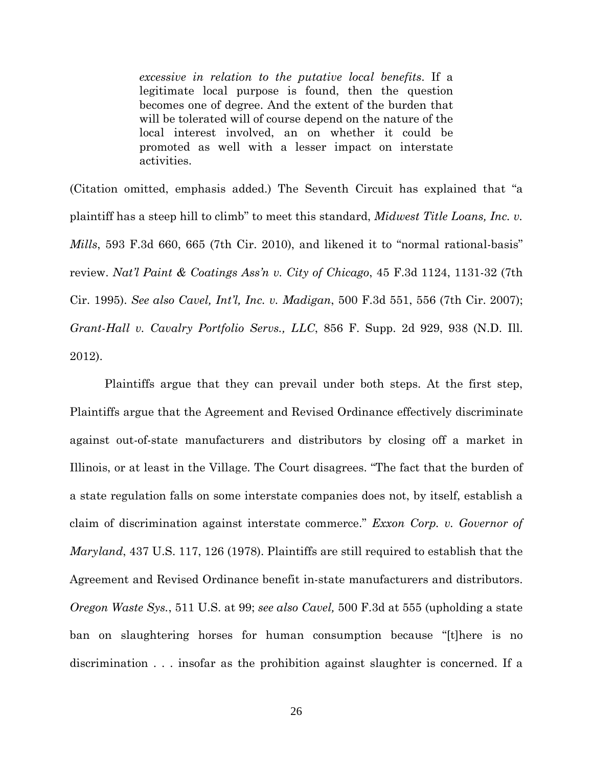*excessive in relation to the putative local benefits*. If a legitimate local purpose is found, then the question becomes one of degree. And the extent of the burden that will be tolerated will of course depend on the nature of the local interest involved, an on whether it could be promoted as well with a lesser impact on interstate activities.

(Citation omitted, emphasis added.) The Seventh Circuit has explained that "a plaintiff has a steep hill to climb" to meet this standard, *Midwest Title Loans, Inc. v. Mills*, 593 F.3d 660, 665 (7th Cir. 2010), and likened it to "normal rational-basis" review. *Nat'l Paint & Coatings Ass'n v. City of Chicago*, 45 F.3d 1124, 1131-32 (7th Cir. 1995). *See also Cavel, Int'l, Inc. v. Madigan*, 500 F.3d 551, 556 (7th Cir. 2007); *Grant-Hall v. Cavalry Portfolio Servs., LLC*, 856 F. Supp. 2d 929, 938 (N.D. Ill. 2012).

Plaintiffs argue that they can prevail under both steps. At the first step, Plaintiffs argue that the Agreement and Revised Ordinance effectively discriminate against out-of-state manufacturers and distributors by closing off a market in Illinois, or at least in the Village. The Court disagrees. "The fact that the burden of a state regulation falls on some interstate companies does not, by itself, establish a claim of discrimination against interstate commerce." *Exxon Corp. v. Governor of Maryland*, 437 U.S. 117, 126 (1978). Plaintiffs are still required to establish that the Agreement and Revised Ordinance benefit in-state manufacturers and distributors. *Oregon Waste Sys.*, 511 U.S. at 99; *see also Cavel,* 500 F.3d at 555 (upholding a state ban on slaughtering horses for human consumption because "[t]here is no discrimination . . . insofar as the prohibition against slaughter is concerned. If a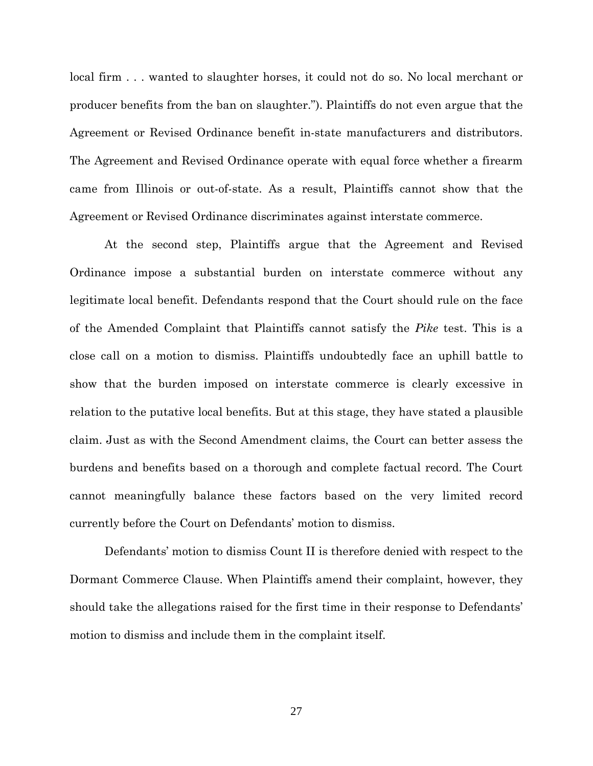local firm . . . wanted to slaughter horses, it could not do so. No local merchant or producer benefits from the ban on slaughter."). Plaintiffs do not even argue that the Agreement or Revised Ordinance benefit in-state manufacturers and distributors. The Agreement and Revised Ordinance operate with equal force whether a firearm came from Illinois or out-of-state. As a result, Plaintiffs cannot show that the Agreement or Revised Ordinance discriminates against interstate commerce.

At the second step, Plaintiffs argue that the Agreement and Revised Ordinance impose a substantial burden on interstate commerce without any legitimate local benefit. Defendants respond that the Court should rule on the face of the Amended Complaint that Plaintiffs cannot satisfy the *Pike* test. This is a close call on a motion to dismiss. Plaintiffs undoubtedly face an uphill battle to show that the burden imposed on interstate commerce is clearly excessive in relation to the putative local benefits. But at this stage, they have stated a plausible claim. Just as with the Second Amendment claims, the Court can better assess the burdens and benefits based on a thorough and complete factual record. The Court cannot meaningfully balance these factors based on the very limited record currently before the Court on Defendants' motion to dismiss.

Defendants' motion to dismiss Count II is therefore denied with respect to the Dormant Commerce Clause. When Plaintiffs amend their complaint, however, they should take the allegations raised for the first time in their response to Defendants' motion to dismiss and include them in the complaint itself.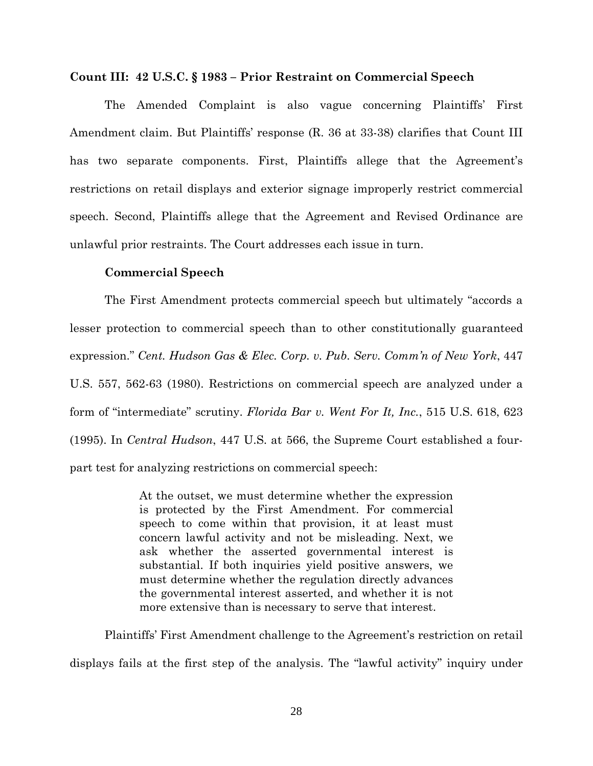#### **Count III: 42 U.S.C. § 1983 – Prior Restraint on Commercial Speech**

The Amended Complaint is also vague concerning Plaintiffs' First Amendment claim. But Plaintiffs' response (R. 36 at 33-38) clarifies that Count III has two separate components. First, Plaintiffs allege that the Agreement's restrictions on retail displays and exterior signage improperly restrict commercial speech. Second, Plaintiffs allege that the Agreement and Revised Ordinance are unlawful prior restraints. The Court addresses each issue in turn.

## **Commercial Speech**

The First Amendment protects commercial speech but ultimately "accords a lesser protection to commercial speech than to other constitutionally guaranteed expression." *Cent. Hudson Gas & Elec. Corp. v. Pub. Serv. Comm'n of New York*, 447 U.S. 557, 562-63 (1980). Restrictions on commercial speech are analyzed under a form of "intermediate" scrutiny. *Florida Bar v. Went For It, Inc.*, 515 U.S. 618, 623 (1995). In *Central Hudson*, 447 U.S. at 566, the Supreme Court established a fourpart test for analyzing restrictions on commercial speech:

> At the outset, we must determine whether the expression is protected by the First Amendment. For commercial speech to come within that provision, it at least must concern lawful activity and not be misleading. Next, we ask whether the asserted governmental interest is substantial. If both inquiries yield positive answers, we must determine whether the regulation directly advances the governmental interest asserted, and whether it is not more extensive than is necessary to serve that interest.

Plaintiffs' First Amendment challenge to the Agreement's restriction on retail displays fails at the first step of the analysis. The "lawful activity" inquiry under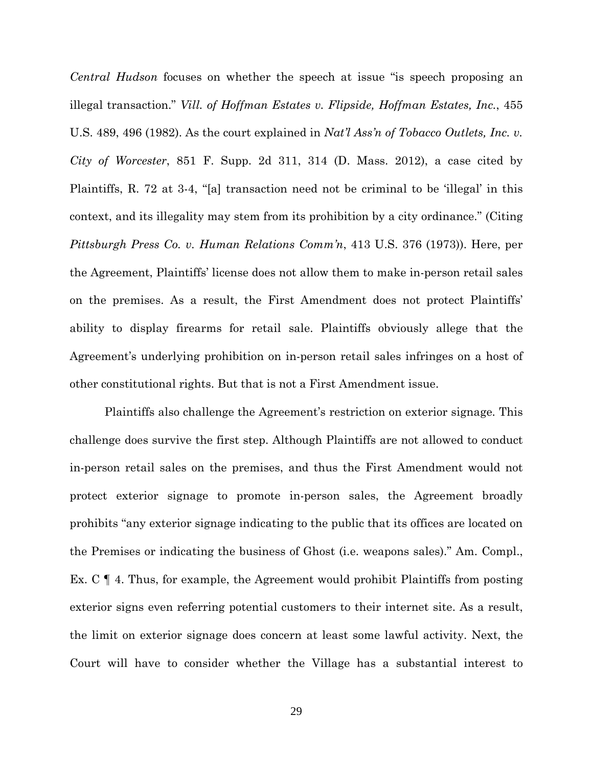*Central Hudson* focuses on whether the speech at issue "is speech proposing an illegal transaction." *Vill. of Hoffman Estates v. Flipside, Hoffman Estates, Inc.*, 455 U.S. 489, 496 (1982). As the court explained in *Nat'l Ass'n of Tobacco Outlets, Inc. v. City of Worcester*, 851 F. Supp. 2d 311, 314 (D. Mass. 2012), a case cited by Plaintiffs, R. 72 at 3-4, "[a] transaction need not be criminal to be 'illegal' in this context, and its illegality may stem from its prohibition by a city ordinance." (Citing *Pittsburgh Press Co. v. Human Relations Comm'n*, 413 U.S. 376 (1973)). Here, per the Agreement, Plaintiffs' license does not allow them to make in-person retail sales on the premises. As a result, the First Amendment does not protect Plaintiffs' ability to display firearms for retail sale. Plaintiffs obviously allege that the Agreement's underlying prohibition on in-person retail sales infringes on a host of other constitutional rights. But that is not a First Amendment issue.

Plaintiffs also challenge the Agreement's restriction on exterior signage. This challenge does survive the first step. Although Plaintiffs are not allowed to conduct in-person retail sales on the premises, and thus the First Amendment would not protect exterior signage to promote in-person sales, the Agreement broadly prohibits "any exterior signage indicating to the public that its offices are located on the Premises or indicating the business of Ghost (i.e. weapons sales)." Am. Compl., Ex. C ¶ 4. Thus, for example, the Agreement would prohibit Plaintiffs from posting exterior signs even referring potential customers to their internet site. As a result, the limit on exterior signage does concern at least some lawful activity. Next, the Court will have to consider whether the Village has a substantial interest to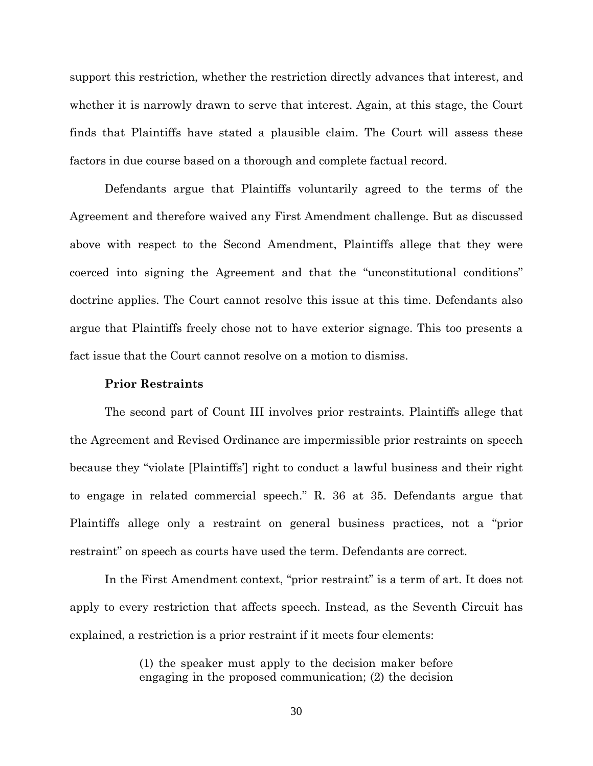support this restriction, whether the restriction directly advances that interest, and whether it is narrowly drawn to serve that interest. Again, at this stage, the Court finds that Plaintiffs have stated a plausible claim. The Court will assess these factors in due course based on a thorough and complete factual record.

Defendants argue that Plaintiffs voluntarily agreed to the terms of the Agreement and therefore waived any First Amendment challenge. But as discussed above with respect to the Second Amendment, Plaintiffs allege that they were coerced into signing the Agreement and that the "unconstitutional conditions" doctrine applies. The Court cannot resolve this issue at this time. Defendants also argue that Plaintiffs freely chose not to have exterior signage. This too presents a fact issue that the Court cannot resolve on a motion to dismiss.

#### **Prior Restraints**

The second part of Count III involves prior restraints. Plaintiffs allege that the Agreement and Revised Ordinance are impermissible prior restraints on speech because they "violate [Plaintiffs'] right to conduct a lawful business and their right to engage in related commercial speech." R. 36 at 35. Defendants argue that Plaintiffs allege only a restraint on general business practices, not a "prior restraint" on speech as courts have used the term. Defendants are correct.

In the First Amendment context, "prior restraint" is a term of art. It does not apply to every restriction that affects speech. Instead, as the Seventh Circuit has explained, a restriction is a prior restraint if it meets four elements:

> (1) the speaker must apply to the decision maker before engaging in the proposed communication; (2) the decision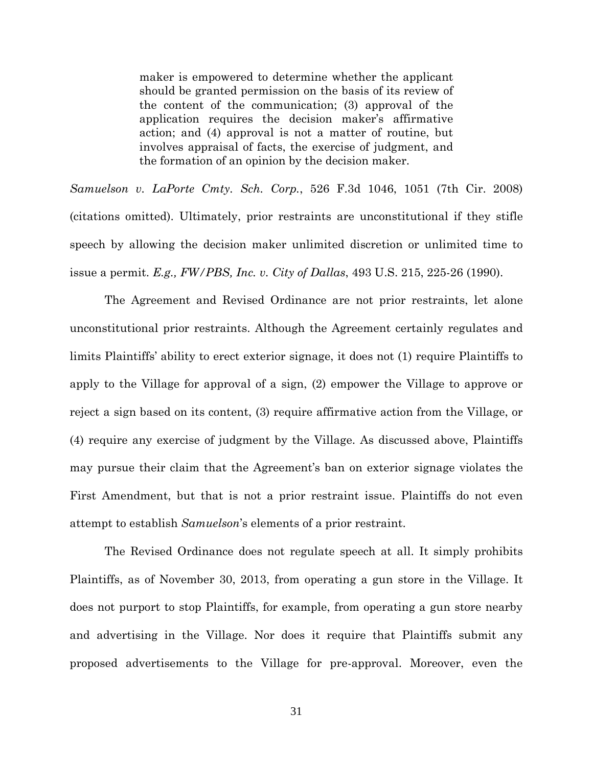maker is empowered to determine whether the applicant should be granted permission on the basis of its review of the content of the communication; (3) approval of the application requires the decision maker's affirmative action; and (4) approval is not a matter of routine, but involves appraisal of facts, the exercise of judgment, and the formation of an opinion by the decision maker.

*Samuelson v. LaPorte Cmty. Sch. Corp.*, 526 F.3d 1046, 1051 (7th Cir. 2008) (citations omitted). Ultimately, prior restraints are unconstitutional if they stifle speech by allowing the decision maker unlimited discretion or unlimited time to issue a permit. *E.g., FW/PBS, Inc. v. City of Dallas*, 493 U.S. 215, 225-26 (1990).

The Agreement and Revised Ordinance are not prior restraints, let alone unconstitutional prior restraints. Although the Agreement certainly regulates and limits Plaintiffs' ability to erect exterior signage, it does not (1) require Plaintiffs to apply to the Village for approval of a sign, (2) empower the Village to approve or reject a sign based on its content, (3) require affirmative action from the Village, or (4) require any exercise of judgment by the Village. As discussed above, Plaintiffs may pursue their claim that the Agreement's ban on exterior signage violates the First Amendment, but that is not a prior restraint issue. Plaintiffs do not even attempt to establish *Samuelson*'s elements of a prior restraint.

The Revised Ordinance does not regulate speech at all. It simply prohibits Plaintiffs, as of November 30, 2013, from operating a gun store in the Village. It does not purport to stop Plaintiffs, for example, from operating a gun store nearby and advertising in the Village. Nor does it require that Plaintiffs submit any proposed advertisements to the Village for pre-approval. Moreover, even the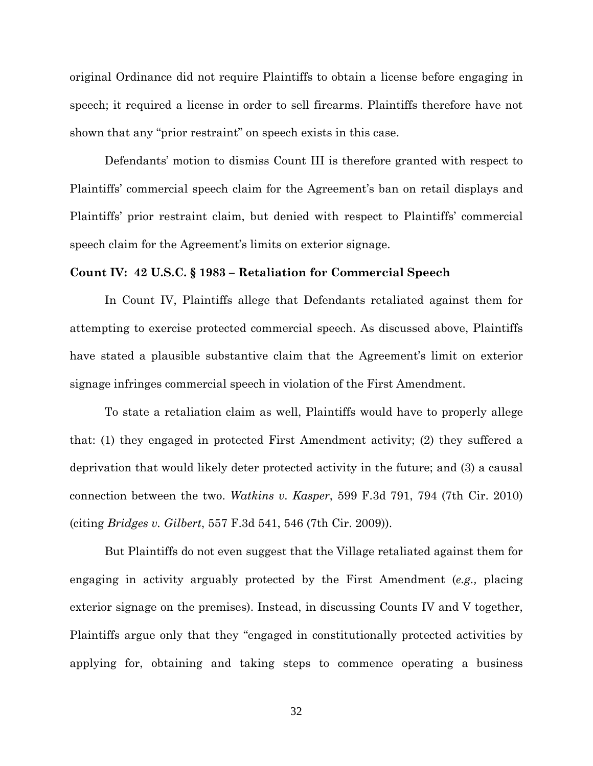original Ordinance did not require Plaintiffs to obtain a license before engaging in speech; it required a license in order to sell firearms. Plaintiffs therefore have not shown that any "prior restraint" on speech exists in this case.

Defendants' motion to dismiss Count III is therefore granted with respect to Plaintiffs' commercial speech claim for the Agreement's ban on retail displays and Plaintiffs' prior restraint claim, but denied with respect to Plaintiffs' commercial speech claim for the Agreement's limits on exterior signage.

#### **Count IV: 42 U.S.C. § 1983 – Retaliation for Commercial Speech**

In Count IV, Plaintiffs allege that Defendants retaliated against them for attempting to exercise protected commercial speech. As discussed above, Plaintiffs have stated a plausible substantive claim that the Agreement's limit on exterior signage infringes commercial speech in violation of the First Amendment.

To state a retaliation claim as well, Plaintiffs would have to properly allege that: (1) they engaged in protected First Amendment activity; (2) they suffered a deprivation that would likely deter protected activity in the future; and (3) a causal connection between the two. *Watkins v. Kasper*, 599 F.3d 791, 794 (7th Cir. 2010) (citing *Bridges v. Gilbert*, 557 F.3d 541, 546 (7th Cir. 2009)).

But Plaintiffs do not even suggest that the Village retaliated against them for engaging in activity arguably protected by the First Amendment (*e.g.,* placing exterior signage on the premises). Instead, in discussing Counts IV and V together, Plaintiffs argue only that they "engaged in constitutionally protected activities by applying for, obtaining and taking steps to commence operating a business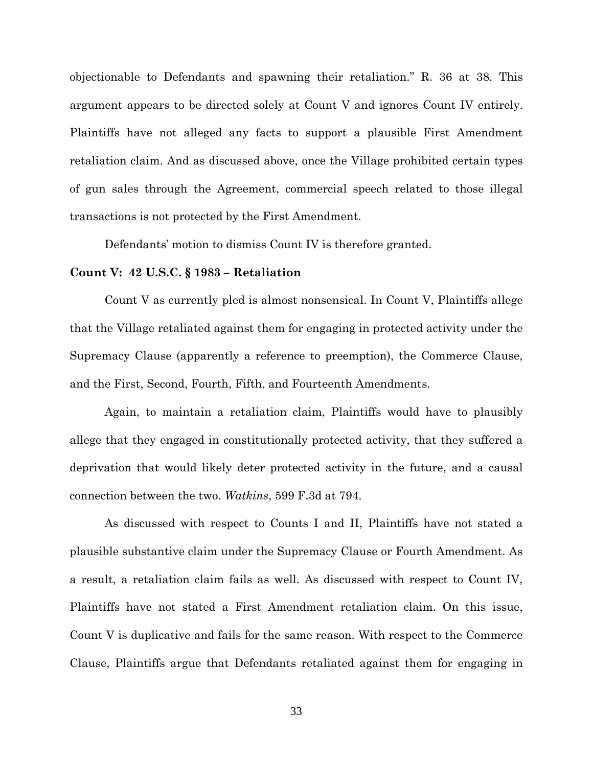objectionable to Defendants and spawning their retaliation." R. 36 at 38. This argument appears to be directed solely at Count V and ignores Count IV entirely. Plaintiffs have not alleged any facts to support a plausible First Amendment retaliation claim. And as discussed above, once the Village prohibited certain types of gun sales through the Agreement, commercial speech related to those illegal transactions is not protected by the First Amendment.

Defendants' motion to dismiss Count IV is therefore granted.

## **Count V: 42 U.S.C. § 1983 – Retaliation**

Count V as currently pled is almost nonsensical. In Count V, Plaintiffs allege that the Village retaliated against them for engaging in protected activity under the Supremacy Clause (apparently a reference to preemption), the Commerce Clause, and the First, Second, Fourth, Fifth, and Fourteenth Amendments.

Again, to maintain a retaliation claim, Plaintiffs would have to plausibly allege that they engaged in constitutionally protected activity, that they suffered a deprivation that would likely deter protected activity in the future, and a causal connection between the two. *Watkins*, 599 F.3d at 794.

As discussed with respect to Counts I and II, Plaintiffs have not stated a plausible substantive claim under the Supremacy Clause or Fourth Amendment. As a result, a retaliation claim fails as well. As discussed with respect to Count IV, Plaintiffs have not stated a First Amendment retaliation claim. On this issue, Count V is duplicative and fails for the same reason. With respect to the Commerce Clause, Plaintiffs argue that Defendants retaliated against them for engaging in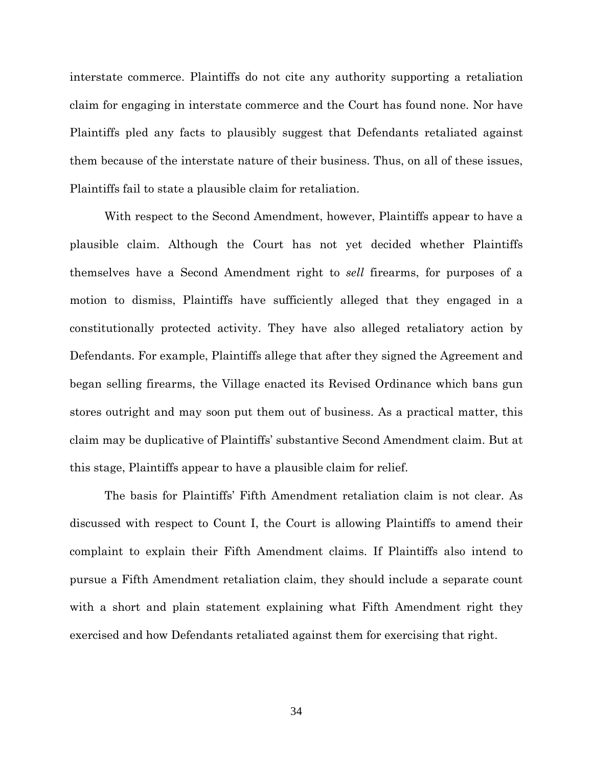interstate commerce. Plaintiffs do not cite any authority supporting a retaliation claim for engaging in interstate commerce and the Court has found none. Nor have Plaintiffs pled any facts to plausibly suggest that Defendants retaliated against them because of the interstate nature of their business. Thus, on all of these issues, Plaintiffs fail to state a plausible claim for retaliation.

With respect to the Second Amendment, however, Plaintiffs appear to have a plausible claim. Although the Court has not yet decided whether Plaintiffs themselves have a Second Amendment right to *sell* firearms, for purposes of a motion to dismiss, Plaintiffs have sufficiently alleged that they engaged in a constitutionally protected activity. They have also alleged retaliatory action by Defendants. For example, Plaintiffs allege that after they signed the Agreement and began selling firearms, the Village enacted its Revised Ordinance which bans gun stores outright and may soon put them out of business. As a practical matter, this claim may be duplicative of Plaintiffs' substantive Second Amendment claim. But at this stage, Plaintiffs appear to have a plausible claim for relief.

The basis for Plaintiffs' Fifth Amendment retaliation claim is not clear. As discussed with respect to Count I, the Court is allowing Plaintiffs to amend their complaint to explain their Fifth Amendment claims. If Plaintiffs also intend to pursue a Fifth Amendment retaliation claim, they should include a separate count with a short and plain statement explaining what Fifth Amendment right they exercised and how Defendants retaliated against them for exercising that right.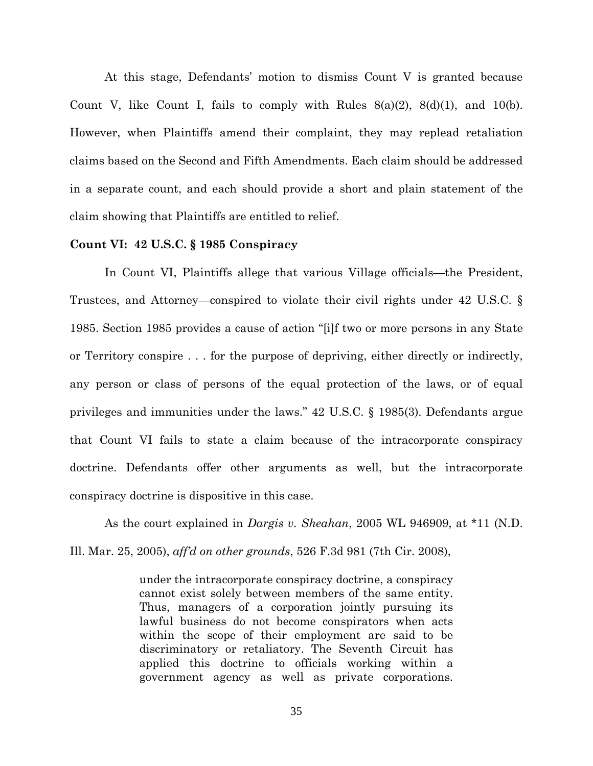At this stage, Defendants' motion to dismiss Count V is granted because Count V, like Count I, fails to comply with Rules  $8(a)(2)$ ,  $8(d)(1)$ , and  $10(b)$ . However, when Plaintiffs amend their complaint, they may replead retaliation claims based on the Second and Fifth Amendments. Each claim should be addressed in a separate count, and each should provide a short and plain statement of the claim showing that Plaintiffs are entitled to relief.

## **Count VI: 42 U.S.C. § 1985 Conspiracy**

In Count VI, Plaintiffs allege that various Village officials—the President, Trustees, and Attorney—conspired to violate their civil rights under 42 U.S.C. § 1985. Section 1985 provides a cause of action "[i]f two or more persons in any State or Territory conspire . . . for the purpose of depriving, either directly or indirectly, any person or class of persons of the equal protection of the laws, or of equal privileges and immunities under the laws." 42 U.S.C. § 1985(3). Defendants argue that Count VI fails to state a claim because of the intracorporate conspiracy doctrine. Defendants offer other arguments as well, but the intracorporate conspiracy doctrine is dispositive in this case.

As the court explained in *Dargis v. Sheahan*, 2005 WL 946909, at \*11 (N.D. Ill. Mar. 25, 2005), *aff'd on other grounds*, 526 F.3d 981 (7th Cir. 2008),

> under the intracorporate conspiracy doctrine, a conspiracy cannot exist solely between members of the same entity. Thus, managers of a corporation jointly pursuing its lawful business do not become conspirators when acts within the scope of their employment are said to be discriminatory or retaliatory. The Seventh Circuit has applied this doctrine to officials working within a government agency as well as private corporations.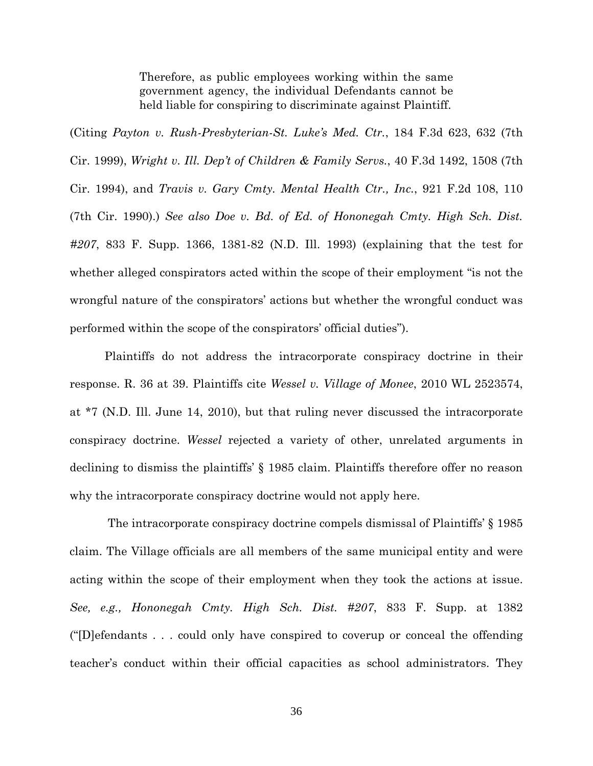Therefore, as public employees working within the same government agency, the individual Defendants cannot be held liable for conspiring to discriminate against Plaintiff.

(Citing *Payton v. Rush-Presbyterian-St. Luke's Med. Ctr.*, 184 F.3d 623, 632 (7th Cir. 1999), *Wright v. Ill. Dep't of Children & Family Servs.*, 40 F.3d 1492, 1508 (7th Cir. 1994), and *Travis v. Gary Cmty. Mental Health Ctr., Inc.*, 921 F.2d 108, 110 (7th Cir. 1990).) *See also Doe v. Bd. of Ed. of Hononegah Cmty. High Sch. Dist. #207*, 833 F. Supp. 1366, 1381-82 (N.D. Ill. 1993) (explaining that the test for whether alleged conspirators acted within the scope of their employment "is not the wrongful nature of the conspirators' actions but whether the wrongful conduct was performed within the scope of the conspirators' official duties").

Plaintiffs do not address the intracorporate conspiracy doctrine in their response. R. 36 at 39. Plaintiffs cite *Wessel v. Village of Monee*, 2010 WL 2523574, at \*7 (N.D. Ill. June 14, 2010), but that ruling never discussed the intracorporate conspiracy doctrine. *Wessel* rejected a variety of other, unrelated arguments in declining to dismiss the plaintiffs' § 1985 claim. Plaintiffs therefore offer no reason why the intracorporate conspiracy doctrine would not apply here.

The intracorporate conspiracy doctrine compels dismissal of Plaintiffs' § 1985 claim. The Village officials are all members of the same municipal entity and were acting within the scope of their employment when they took the actions at issue. *See, e.g., Hononegah Cmty. High Sch. Dist. #207*, 833 F. Supp. at 1382 ("[D]efendants . . . could only have conspired to coverup or conceal the offending teacher's conduct within their official capacities as school administrators. They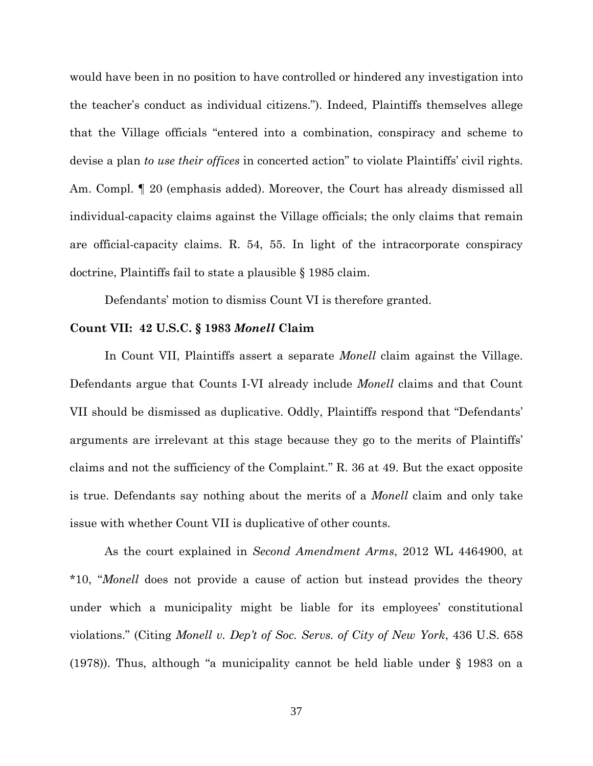would have been in no position to have controlled or hindered any investigation into the teacher's conduct as individual citizens."). Indeed, Plaintiffs themselves allege that the Village officials "entered into a combination, conspiracy and scheme to devise a plan *to use their offices* in concerted action" to violate Plaintiffs' civil rights. Am. Compl. ¶ 20 (emphasis added). Moreover, the Court has already dismissed all individual-capacity claims against the Village officials; the only claims that remain are official-capacity claims. R. 54, 55. In light of the intracorporate conspiracy doctrine, Plaintiffs fail to state a plausible § 1985 claim.

Defendants' motion to dismiss Count VI is therefore granted.

#### **Count VII: 42 U.S.C. § 1983** *Monell* **Claim**

In Count VII, Plaintiffs assert a separate *Monell* claim against the Village. Defendants argue that Counts I-VI already include *Monell* claims and that Count VII should be dismissed as duplicative. Oddly, Plaintiffs respond that "Defendants' arguments are irrelevant at this stage because they go to the merits of Plaintiffs' claims and not the sufficiency of the Complaint." R. 36 at 49. But the exact opposite is true. Defendants say nothing about the merits of a *Monell* claim and only take issue with whether Count VII is duplicative of other counts.

As the court explained in *Second Amendment Arms*, 2012 WL 4464900, at \*10, "*Monell* does not provide a cause of action but instead provides the theory under which a municipality might be liable for its employees' constitutional violations." (Citing *Monell v. Dep't of Soc. Servs. of City of New York*, 436 U.S. 658 (1978)). Thus, although "a municipality cannot be held liable under § 1983 on a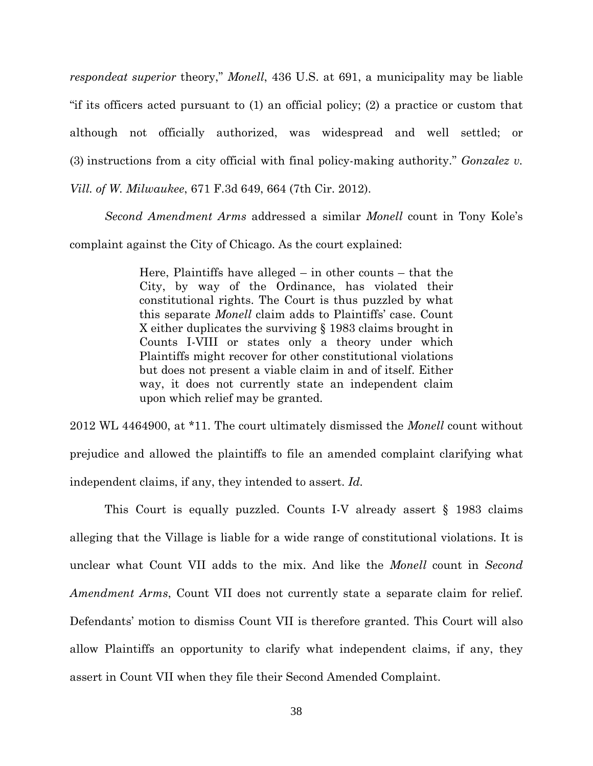*respondeat superior* theory," *Monell*, 436 U.S. at 691, a municipality may be liable "if its officers acted pursuant to (1) an official policy; (2) a practice or custom that although not officially authorized, was widespread and well settled; or (3) instructions from a city official with final policy-making authority." *Gonzalez v. Vill. of W. Milwaukee*, 671 F.3d 649, 664 (7th Cir. 2012).

*Second Amendment Arms* addressed a similar *Monell* count in Tony Kole's complaint against the City of Chicago. As the court explained:

> Here, Plaintiffs have alleged – in other counts – that the City, by way of the Ordinance, has violated their constitutional rights. The Court is thus puzzled by what this separate *Monell* claim adds to Plaintiffs' case. Count X either duplicates the surviving § 1983 claims brought in Counts I-VIII or states only a theory under which Plaintiffs might recover for other constitutional violations but does not present a viable claim in and of itself. Either way, it does not currently state an independent claim upon which relief may be granted.

2012 WL 4464900, at \*11. The court ultimately dismissed the *Monell* count without prejudice and allowed the plaintiffs to file an amended complaint clarifying what independent claims, if any, they intended to assert. *Id.*

This Court is equally puzzled. Counts I-V already assert § 1983 claims alleging that the Village is liable for a wide range of constitutional violations. It is unclear what Count VII adds to the mix. And like the *Monell* count in *Second Amendment Arms*, Count VII does not currently state a separate claim for relief. Defendants' motion to dismiss Count VII is therefore granted. This Court will also allow Plaintiffs an opportunity to clarify what independent claims, if any, they assert in Count VII when they file their Second Amended Complaint.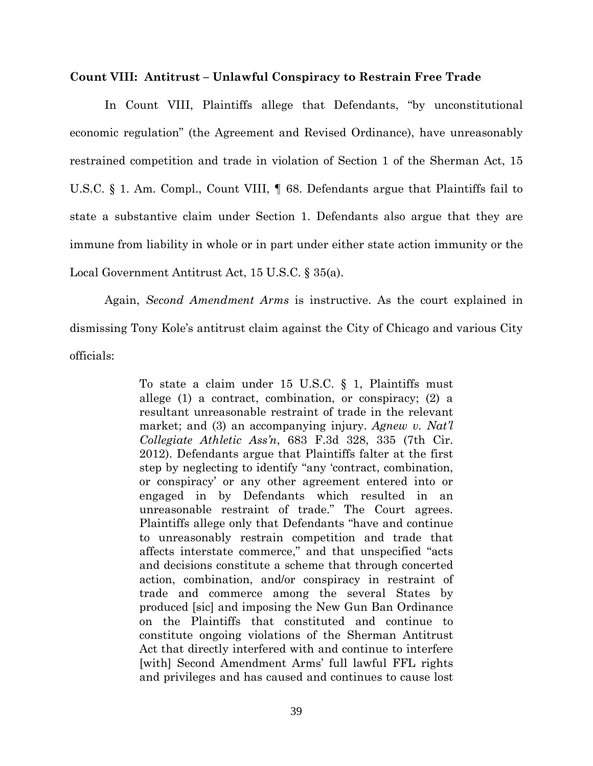#### **Count VIII: Antitrust – Unlawful Conspiracy to Restrain Free Trade**

In Count VIII, Plaintiffs allege that Defendants, "by unconstitutional economic regulation" (the Agreement and Revised Ordinance), have unreasonably restrained competition and trade in violation of Section 1 of the Sherman Act, 15 U.S.C. § 1. Am. Compl., Count VIII, ¶ 68. Defendants argue that Plaintiffs fail to state a substantive claim under Section 1. Defendants also argue that they are immune from liability in whole or in part under either state action immunity or the Local Government Antitrust Act, 15 U.S.C. § 35(a).

Again, *Second Amendment Arms* is instructive. As the court explained in dismissing Tony Kole's antitrust claim against the City of Chicago and various City officials:

> To state a claim under 15 U.S.C. § 1, Plaintiffs must allege (1) a contract, combination, or conspiracy; (2) a resultant unreasonable restraint of trade in the relevant market; and (3) an accompanying injury. *Agnew v. Nat'l Collegiate Athletic Ass'n*, 683 F.3d 328, 335 (7th Cir. 2012). Defendants argue that Plaintiffs falter at the first step by neglecting to identify "any 'contract, combination, or conspiracy' or any other agreement entered into or engaged in by Defendants which resulted in an unreasonable restraint of trade." The Court agrees. Plaintiffs allege only that Defendants "have and continue to unreasonably restrain competition and trade that affects interstate commerce," and that unspecified "acts and decisions constitute a scheme that through concerted action, combination, and/or conspiracy in restraint of trade and commerce among the several States by produced [sic] and imposing the New Gun Ban Ordinance on the Plaintiffs that constituted and continue to constitute ongoing violations of the Sherman Antitrust Act that directly interfered with and continue to interfere [with] Second Amendment Arms' full lawful FFL rights and privileges and has caused and continues to cause lost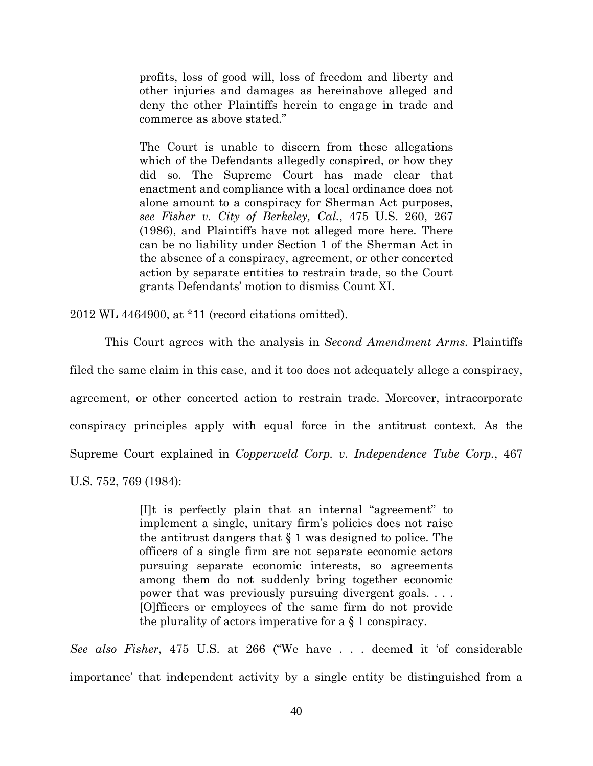profits, loss of good will, loss of freedom and liberty and other injuries and damages as hereinabove alleged and deny the other Plaintiffs herein to engage in trade and commerce as above stated."

The Court is unable to discern from these allegations which of the Defendants allegedly conspired, or how they did so. The Supreme Court has made clear that enactment and compliance with a local ordinance does not alone amount to a conspiracy for Sherman Act purposes, *see Fisher v. City of Berkeley, Cal.*, 475 U.S. 260, 267 (1986), and Plaintiffs have not alleged more here. There can be no liability under Section 1 of the Sherman Act in the absence of a conspiracy, agreement, or other concerted action by separate entities to restrain trade, so the Court grants Defendants' motion to dismiss Count XI.

2012 WL 4464900, at \*11 (record citations omitted).

This Court agrees with the analysis in *Second Amendment Arms.* Plaintiffs

agreement, or other concerted action to restrain trade. Moreover, intracorporate conspiracy principles apply with equal force in the antitrust context. As the Supreme Court explained in *Copperweld Corp. v. Independence Tube Corp.*, 467

filed the same claim in this case, and it too does not adequately allege a conspiracy,

U.S. 752, 769 (1984):

[I]t is perfectly plain that an internal "agreement" to implement a single, unitary firm's policies does not raise the antitrust dangers that § 1 was designed to police. The officers of a single firm are not separate economic actors pursuing separate economic interests, so agreements among them do not suddenly bring together economic power that was previously pursuing divergent goals. . . . [O]fficers or employees of the same firm do not provide the plurality of actors imperative for a § 1 conspiracy.

*See also Fisher*, 475 U.S. at 266 ("We have . . . deemed it 'of considerable importance' that independent activity by a single entity be distinguished from a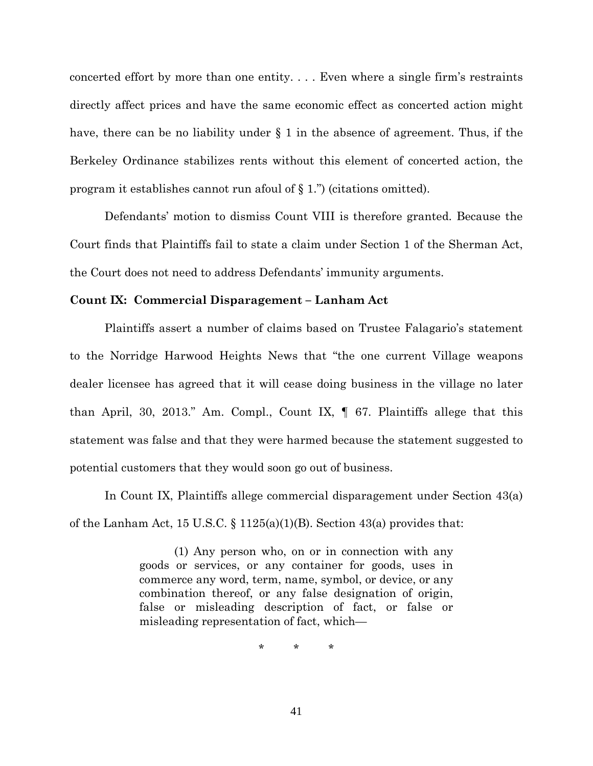concerted effort by more than one entity. . . . Even where a single firm's restraints directly affect prices and have the same economic effect as concerted action might have, there can be no liability under  $\S$  1 in the absence of agreement. Thus, if the Berkeley Ordinance stabilizes rents without this element of concerted action, the program it establishes cannot run afoul of § 1.") (citations omitted).

Defendants' motion to dismiss Count VIII is therefore granted. Because the Court finds that Plaintiffs fail to state a claim under Section 1 of the Sherman Act, the Court does not need to address Defendants' immunity arguments.

## **Count IX: Commercial Disparagement – Lanham Act**

Plaintiffs assert a number of claims based on Trustee Falagario's statement to the Norridge Harwood Heights News that "the one current Village weapons dealer licensee has agreed that it will cease doing business in the village no later than April, 30, 2013." Am. Compl., Count IX, ¶ 67. Plaintiffs allege that this statement was false and that they were harmed because the statement suggested to potential customers that they would soon go out of business.

In Count IX, Plaintiffs allege commercial disparagement under Section 43(a) of the Lanham Act, 15 U.S.C.  $\S$  1125(a)(1)(B). Section 43(a) provides that:

> (1) Any person who, on or in connection with any goods or services, or any container for goods, uses in commerce any word, term, name, symbol, or device, or any combination thereof, or any false designation of origin, false or misleading description of fact, or false or misleading representation of fact, which—

> > \* \* \*

41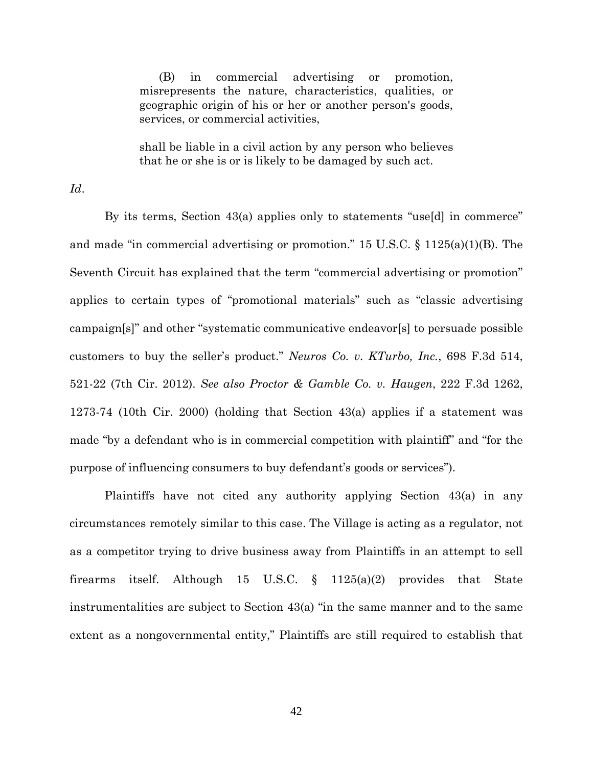(B) in commercial advertising or promotion, misrepresents the nature, characteristics, qualities, or geographic origin of his or her or another person's goods, services, or commercial activities,

shall be liable in a civil action by any person who believes that he or she is or is likely to be damaged by such act.

*Id*.

By its terms, Section 43(a) applies only to statements "use[d] in commerce" and made "in commercial advertising or promotion." 15 U.S.C. § 1125(a)(1)(B). The Seventh Circuit has explained that the term "commercial advertising or promotion" applies to certain types of "promotional materials" such as "classic advertising campaign[s]" and other "systematic communicative endeavor[s] to persuade possible customers to buy the seller's product." *Neuros Co. v. KTurbo, Inc.*, 698 F.3d 514, 521-22 (7th Cir. 2012). *See also Proctor & Gamble Co. v. Haugen*, 222 F.3d 1262, 1273-74 (10th Cir. 2000) (holding that Section 43(a) applies if a statement was made "by a defendant who is in commercial competition with plaintiff" and "for the purpose of influencing consumers to buy defendant's goods or services").

Plaintiffs have not cited any authority applying Section 43(a) in any circumstances remotely similar to this case. The Village is acting as a regulator, not as a competitor trying to drive business away from Plaintiffs in an attempt to sell firearms itself. Although 15 U.S.C. § 1125(a)(2) provides that State instrumentalities are subject to Section 43(a) "in the same manner and to the same extent as a nongovernmental entity," Plaintiffs are still required to establish that

42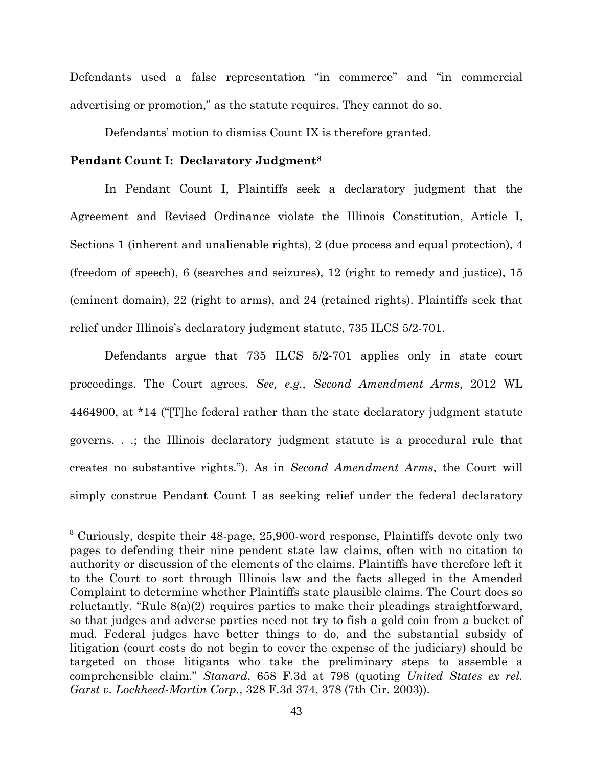Defendants used a false representation "in commerce" and "in commercial advertising or promotion," as the statute requires. They cannot do so.

Defendants' motion to dismiss Count IX is therefore granted.

#### **Pendant Count I: Declaratory Judgment[8](#page-42-0)**

In Pendant Count I, Plaintiffs seek a declaratory judgment that the Agreement and Revised Ordinance violate the Illinois Constitution, Article I, Sections 1 (inherent and unalienable rights), 2 (due process and equal protection), 4 (freedom of speech), 6 (searches and seizures), 12 (right to remedy and justice), 15 (eminent domain), 22 (right to arms), and 24 (retained rights). Plaintiffs seek that relief under Illinois's declaratory judgment statute, 735 ILCS 5/2-701.

Defendants argue that 735 ILCS 5/2-701 applies only in state court proceedings. The Court agrees. *See, e.g., Second Amendment Arms*, 2012 WL 4464900, at \*14 ("[T]he federal rather than the state declaratory judgment statute governs. . .; the Illinois declaratory judgment statute is a procedural rule that creates no substantive rights."). As in *Second Amendment Arms*, the Court will simply construe Pendant Count I as seeking relief under the federal declaratory

<span id="page-42-0"></span> <sup>8</sup> Curiously, despite their 48-page, 25,900-word response, Plaintiffs devote only two pages to defending their nine pendent state law claims, often with no citation to authority or discussion of the elements of the claims. Plaintiffs have therefore left it to the Court to sort through Illinois law and the facts alleged in the Amended Complaint to determine whether Plaintiffs state plausible claims. The Court does so reluctantly. "Rule 8(a)(2) requires parties to make their pleadings straightforward, so that judges and adverse parties need not try to fish a gold coin from a bucket of mud. Federal judges have better things to do, and the substantial subsidy of litigation (court costs do not begin to cover the expense of the judiciary) should be targeted on those litigants who take the preliminary steps to assemble a comprehensible claim." *Stanard*, 658 F.3d at 798 (quoting *United States ex rel. Garst v. Lockheed-Martin Corp.*, 328 F.3d 374, 378 (7th Cir. 2003)).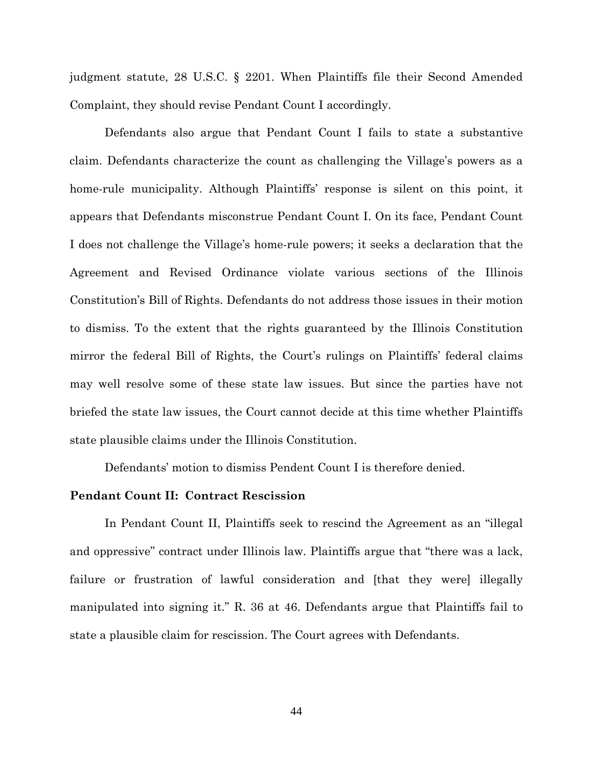judgment statute, 28 U.S.C. § 2201. When Plaintiffs file their Second Amended Complaint, they should revise Pendant Count I accordingly.

Defendants also argue that Pendant Count I fails to state a substantive claim. Defendants characterize the count as challenging the Village's powers as a home-rule municipality. Although Plaintiffs' response is silent on this point, it appears that Defendants misconstrue Pendant Count I. On its face, Pendant Count I does not challenge the Village's home-rule powers; it seeks a declaration that the Agreement and Revised Ordinance violate various sections of the Illinois Constitution's Bill of Rights. Defendants do not address those issues in their motion to dismiss. To the extent that the rights guaranteed by the Illinois Constitution mirror the federal Bill of Rights, the Court's rulings on Plaintiffs' federal claims may well resolve some of these state law issues. But since the parties have not briefed the state law issues, the Court cannot decide at this time whether Plaintiffs state plausible claims under the Illinois Constitution.

Defendants' motion to dismiss Pendent Count I is therefore denied.

## **Pendant Count II: Contract Rescission**

In Pendant Count II, Plaintiffs seek to rescind the Agreement as an "illegal and oppressive" contract under Illinois law. Plaintiffs argue that "there was a lack, failure or frustration of lawful consideration and [that they were] illegally manipulated into signing it." R. 36 at 46. Defendants argue that Plaintiffs fail to state a plausible claim for rescission. The Court agrees with Defendants.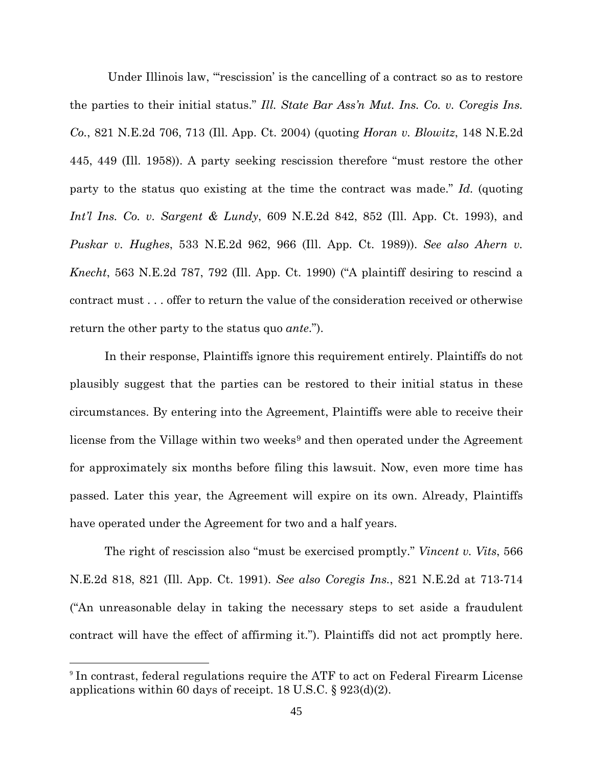Under Illinois law, "'rescission' is the cancelling of a contract so as to restore the parties to their initial status." *Ill. State Bar Ass'n Mut. Ins. Co. v. Coregis Ins. Co.*, 821 N.E.2d 706, 713 (Ill. App. Ct. 2004) (quoting *Horan v. Blowitz*, 148 N.E.2d 445, 449 (Ill. 1958)). A party seeking rescission therefore "must restore the other party to the status quo existing at the time the contract was made." *Id.* (quoting *Int'l Ins. Co. v. Sargent & Lundy*, 609 N.E.2d 842, 852 (Ill. App. Ct. 1993), and *Puskar v. Hughes*, 533 N.E.2d 962, 966 (Ill. App. Ct. 1989)). *See also Ahern v. Knecht*, 563 N.E.2d 787, 792 (Ill. App. Ct. 1990) ("A plaintiff desiring to rescind a contract must . . . offer to return the value of the consideration received or otherwise return the other party to the status quo *ante*.").

In their response, Plaintiffs ignore this requirement entirely. Plaintiffs do not plausibly suggest that the parties can be restored to their initial status in these circumstances. By entering into the Agreement, Plaintiffs were able to receive their license from the Village within two weeks<sup>[9](#page-44-0)</sup> and then operated under the Agreement for approximately six months before filing this lawsuit. Now, even more time has passed. Later this year, the Agreement will expire on its own. Already, Plaintiffs have operated under the Agreement for two and a half years.

The right of rescission also "must be exercised promptly." *Vincent v. Vits*, 566 N.E.2d 818, 821 (Ill. App. Ct. 1991). *See also Coregis Ins.*, 821 N.E.2d at 713-714 ("An unreasonable delay in taking the necessary steps to set aside a fraudulent contract will have the effect of affirming it."). Plaintiffs did not act promptly here.

<span id="page-44-0"></span> <sup>9</sup> In contrast, federal regulations require the ATF to act on Federal Firearm License applications within 60 days of receipt. 18 U.S.C. § 923(d)(2).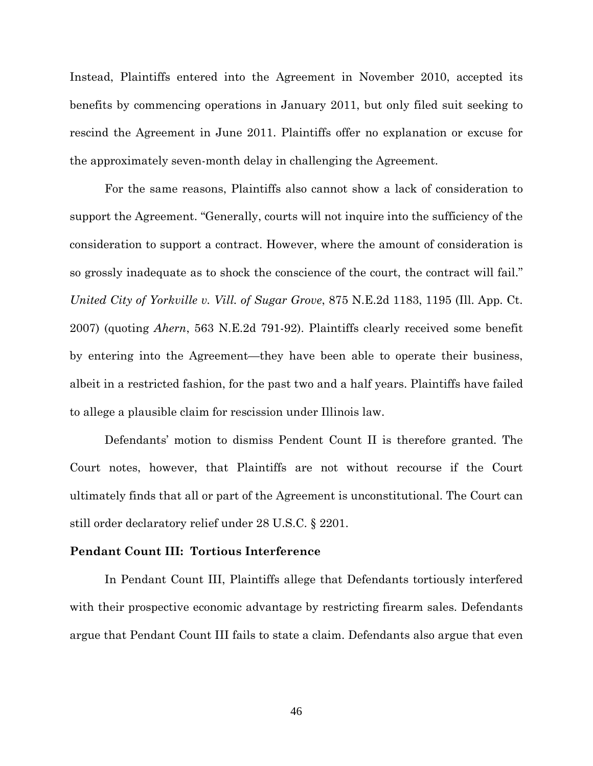Instead, Plaintiffs entered into the Agreement in November 2010, accepted its benefits by commencing operations in January 2011, but only filed suit seeking to rescind the Agreement in June 2011. Plaintiffs offer no explanation or excuse for the approximately seven-month delay in challenging the Agreement.

For the same reasons, Plaintiffs also cannot show a lack of consideration to support the Agreement. "Generally, courts will not inquire into the sufficiency of the consideration to support a contract. However, where the amount of consideration is so grossly inadequate as to shock the conscience of the court, the contract will fail." *United City of Yorkville v. Vill. of Sugar Grove*, 875 N.E.2d 1183, 1195 (Ill. App. Ct. 2007) (quoting *Ahern*, 563 N.E.2d 791-92). Plaintiffs clearly received some benefit by entering into the Agreement—they have been able to operate their business, albeit in a restricted fashion, for the past two and a half years. Plaintiffs have failed to allege a plausible claim for rescission under Illinois law.

Defendants' motion to dismiss Pendent Count II is therefore granted. The Court notes, however, that Plaintiffs are not without recourse if the Court ultimately finds that all or part of the Agreement is unconstitutional. The Court can still order declaratory relief under 28 U.S.C. § 2201.

## **Pendant Count III: Tortious Interference**

In Pendant Count III, Plaintiffs allege that Defendants tortiously interfered with their prospective economic advantage by restricting firearm sales. Defendants argue that Pendant Count III fails to state a claim. Defendants also argue that even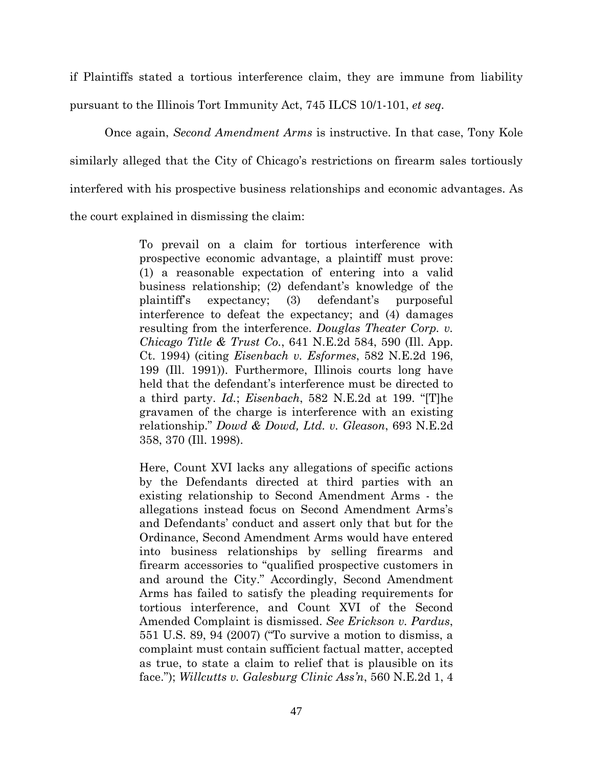if Plaintiffs stated a tortious interference claim, they are immune from liability pursuant to the Illinois Tort Immunity Act, 745 ILCS 10/1-101, *et seq.*

Once again, *Second Amendment Arms* is instructive. In that case, Tony Kole similarly alleged that the City of Chicago's restrictions on firearm sales tortiously interfered with his prospective business relationships and economic advantages. As the court explained in dismissing the claim:

> To prevail on a claim for tortious interference with prospective economic advantage, a plaintiff must prove: (1) a reasonable expectation of entering into a valid business relationship; (2) defendant's knowledge of the plaintiff's expectancy; (3) defendant's purposeful interference to defeat the expectancy; and (4) damages resulting from the interference. *Douglas Theater Corp. v. Chicago Title & Trust Co.*, 641 N.E.2d 584, 590 (Ill. App. Ct. 1994) (citing *Eisenbach v. Esformes*, 582 N.E.2d 196, 199 (Ill. 1991)). Furthermore, Illinois courts long have held that the defendant's interference must be directed to a third party. *Id.*; *Eisenbach*, 582 N.E.2d at 199. "[T]he gravamen of the charge is interference with an existing relationship." *Dowd & Dowd, Ltd. v. Gleason*, 693 N.E.2d 358, 370 (Ill. 1998).

> Here, Count XVI lacks any allegations of specific actions by the Defendants directed at third parties with an existing relationship to Second Amendment Arms - the allegations instead focus on Second Amendment Arms's and Defendants' conduct and assert only that but for the Ordinance, Second Amendment Arms would have entered into business relationships by selling firearms and firearm accessories to "qualified prospective customers in and around the City." Accordingly, Second Amendment Arms has failed to satisfy the pleading requirements for tortious interference, and Count XVI of the Second Amended Complaint is dismissed. *See Erickson v. Pardus*, 551 U.S. 89, 94 (2007) ("To survive a motion to dismiss, a complaint must contain sufficient factual matter, accepted as true, to state a claim to relief that is plausible on its face."); *Willcutts v. Galesburg Clinic Ass'n*, 560 N.E.2d 1, 4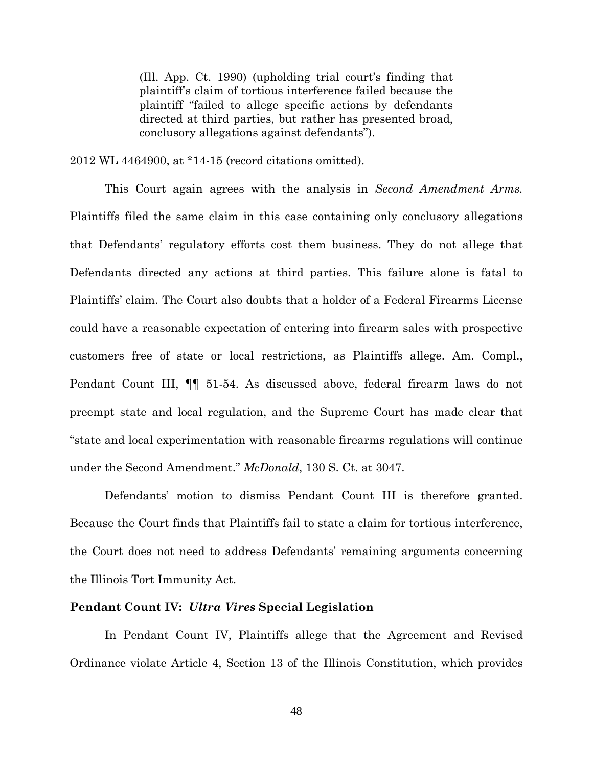(Ill. App. Ct. 1990) (upholding trial court's finding that plaintiff's claim of tortious interference failed because the plaintiff "failed to allege specific actions by defendants directed at third parties, but rather has presented broad, conclusory allegations against defendants").

2012 WL 4464900, at \*14-15 (record citations omitted).

This Court again agrees with the analysis in *Second Amendment Arms.* Plaintiffs filed the same claim in this case containing only conclusory allegations that Defendants' regulatory efforts cost them business. They do not allege that Defendants directed any actions at third parties. This failure alone is fatal to Plaintiffs' claim. The Court also doubts that a holder of a Federal Firearms License could have a reasonable expectation of entering into firearm sales with prospective customers free of state or local restrictions, as Plaintiffs allege. Am. Compl., Pendant Count III, ¶¶ 51-54. As discussed above, federal firearm laws do not preempt state and local regulation, and the Supreme Court has made clear that "state and local experimentation with reasonable firearms regulations will continue under the Second Amendment." *McDonald*, 130 S. Ct. at 3047.

Defendants' motion to dismiss Pendant Count III is therefore granted. Because the Court finds that Plaintiffs fail to state a claim for tortious interference, the Court does not need to address Defendants' remaining arguments concerning the Illinois Tort Immunity Act.

## **Pendant Count IV:** *Ultra Vires* **Special Legislation**

In Pendant Count IV, Plaintiffs allege that the Agreement and Revised Ordinance violate Article 4, Section 13 of the Illinois Constitution, which provides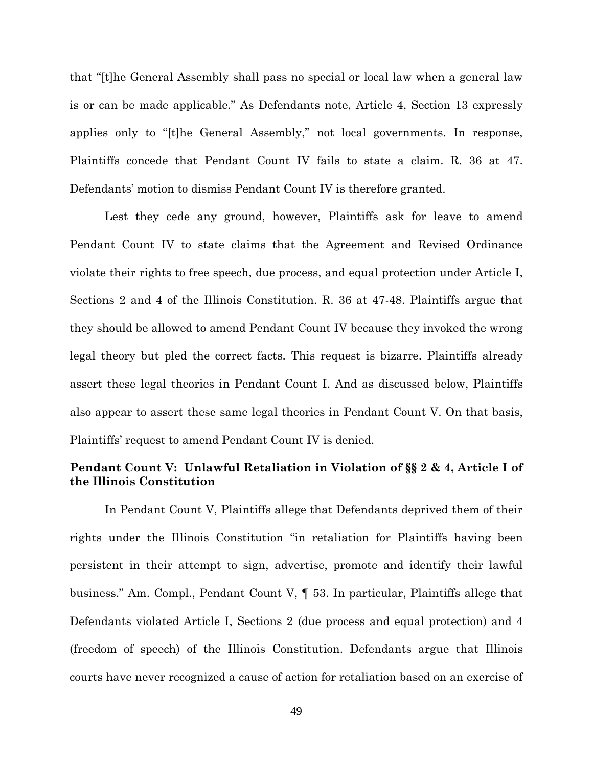that "[t]he General Assembly shall pass no special or local law when a general law is or can be made applicable." As Defendants note, Article 4, Section 13 expressly applies only to "[t]he General Assembly," not local governments. In response, Plaintiffs concede that Pendant Count IV fails to state a claim. R. 36 at 47. Defendants' motion to dismiss Pendant Count IV is therefore granted.

Lest they cede any ground, however, Plaintiffs ask for leave to amend Pendant Count IV to state claims that the Agreement and Revised Ordinance violate their rights to free speech, due process, and equal protection under Article I, Sections 2 and 4 of the Illinois Constitution. R. 36 at 47-48. Plaintiffs argue that they should be allowed to amend Pendant Count IV because they invoked the wrong legal theory but pled the correct facts. This request is bizarre. Plaintiffs already assert these legal theories in Pendant Count I. And as discussed below, Plaintiffs also appear to assert these same legal theories in Pendant Count V. On that basis, Plaintiffs' request to amend Pendant Count IV is denied.

# **Pendant Count V: Unlawful Retaliation in Violation of §§ 2 & 4, Article I of the Illinois Constitution**

In Pendant Count V, Plaintiffs allege that Defendants deprived them of their rights under the Illinois Constitution "in retaliation for Plaintiffs having been persistent in their attempt to sign, advertise, promote and identify their lawful business." Am. Compl., Pendant Count V, ¶ 53. In particular, Plaintiffs allege that Defendants violated Article I, Sections 2 (due process and equal protection) and 4 (freedom of speech) of the Illinois Constitution. Defendants argue that Illinois courts have never recognized a cause of action for retaliation based on an exercise of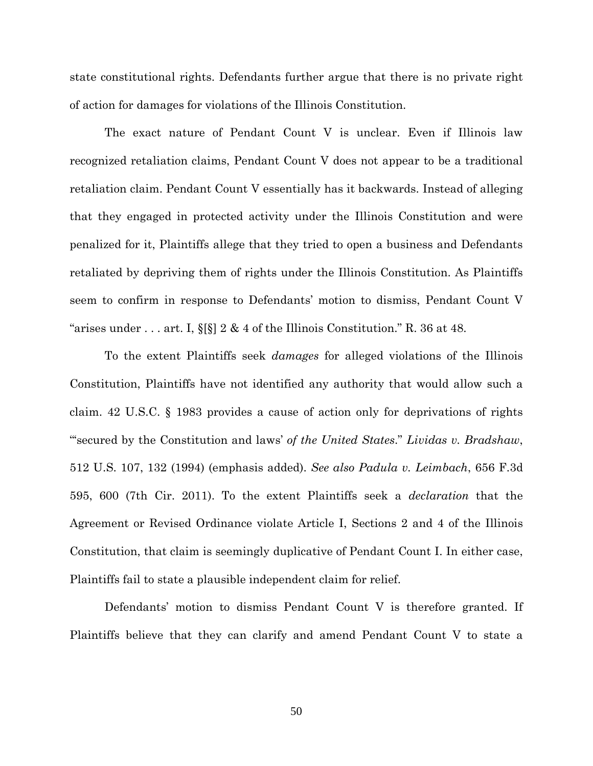state constitutional rights. Defendants further argue that there is no private right of action for damages for violations of the Illinois Constitution.

The exact nature of Pendant Count V is unclear. Even if Illinois law recognized retaliation claims, Pendant Count V does not appear to be a traditional retaliation claim. Pendant Count V essentially has it backwards. Instead of alleging that they engaged in protected activity under the Illinois Constitution and were penalized for it, Plaintiffs allege that they tried to open a business and Defendants retaliated by depriving them of rights under the Illinois Constitution. As Plaintiffs seem to confirm in response to Defendants' motion to dismiss, Pendant Count V "arises under . . . art. I,  $\S[\S]$  2 & 4 of the Illinois Constitution." R. 36 at 48.

To the extent Plaintiffs seek *damages* for alleged violations of the Illinois Constitution, Plaintiffs have not identified any authority that would allow such a claim. 42 U.S.C. § 1983 provides a cause of action only for deprivations of rights "'secured by the Constitution and laws' *of the United States*." *Lividas v. Bradshaw*, 512 U.S. 107, 132 (1994) (emphasis added). *See also Padula v. Leimbach*, 656 F.3d 595, 600 (7th Cir. 2011). To the extent Plaintiffs seek a *declaration* that the Agreement or Revised Ordinance violate Article I, Sections 2 and 4 of the Illinois Constitution, that claim is seemingly duplicative of Pendant Count I. In either case, Plaintiffs fail to state a plausible independent claim for relief.

Defendants' motion to dismiss Pendant Count V is therefore granted. If Plaintiffs believe that they can clarify and amend Pendant Count V to state a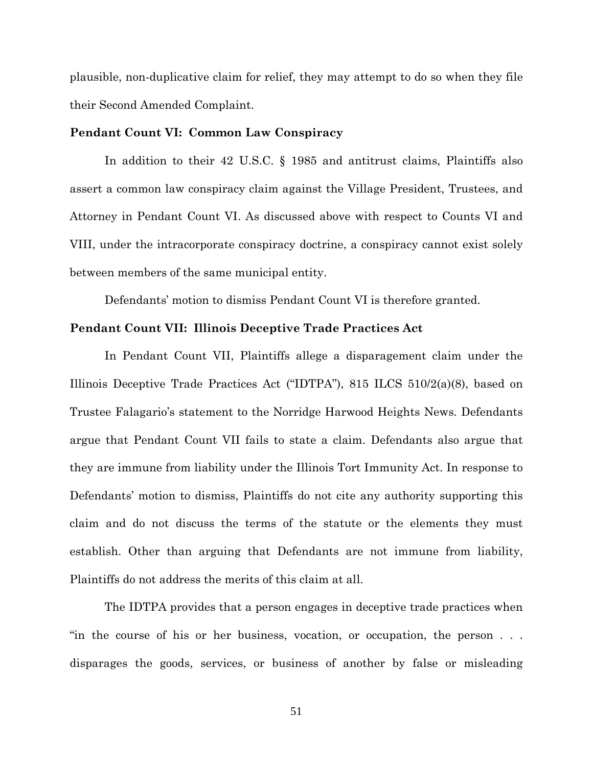plausible, non-duplicative claim for relief, they may attempt to do so when they file their Second Amended Complaint.

### **Pendant Count VI: Common Law Conspiracy**

In addition to their 42 U.S.C. § 1985 and antitrust claims, Plaintiffs also assert a common law conspiracy claim against the Village President, Trustees, and Attorney in Pendant Count VI. As discussed above with respect to Counts VI and VIII, under the intracorporate conspiracy doctrine, a conspiracy cannot exist solely between members of the same municipal entity.

Defendants' motion to dismiss Pendant Count VI is therefore granted.

#### **Pendant Count VII: Illinois Deceptive Trade Practices Act**

In Pendant Count VII, Plaintiffs allege a disparagement claim under the Illinois Deceptive Trade Practices Act ("IDTPA"), 815 ILCS 510/2(a)(8), based on Trustee Falagario's statement to the Norridge Harwood Heights News. Defendants argue that Pendant Count VII fails to state a claim. Defendants also argue that they are immune from liability under the Illinois Tort Immunity Act. In response to Defendants' motion to dismiss, Plaintiffs do not cite any authority supporting this claim and do not discuss the terms of the statute or the elements they must establish. Other than arguing that Defendants are not immune from liability, Plaintiffs do not address the merits of this claim at all.

The IDTPA provides that a person engages in deceptive trade practices when "in the course of his or her business, vocation, or occupation, the person . . . disparages the goods, services, or business of another by false or misleading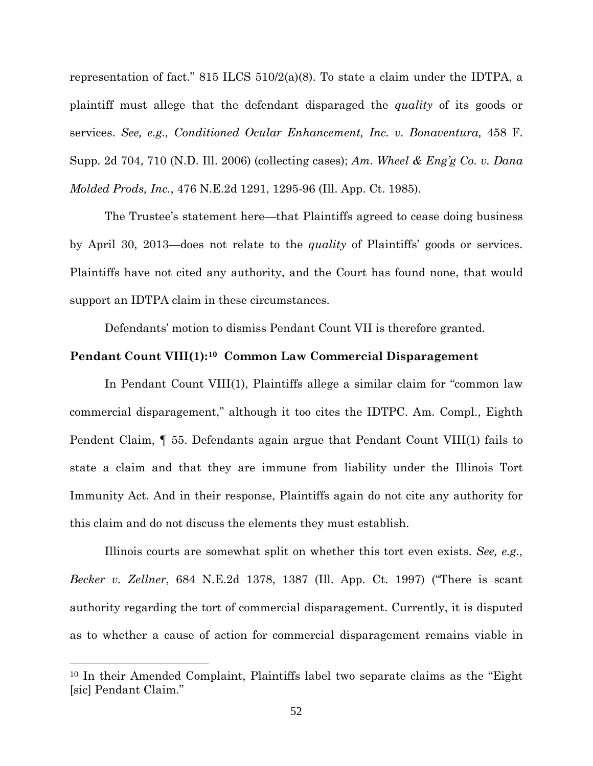representation of fact." 815 ILCS 510/2(a)(8). To state a claim under the IDTPA, a plaintiff must allege that the defendant disparaged the *quality* of its goods or services. *See, e.g., Conditioned Ocular Enhancement, Inc. v. Bonaventura,* 458 F. Supp. 2d 704, 710 (N.D. Ill. 2006) (collecting cases); *Am. Wheel & Eng'g Co. v. Dana Molded Prods, Inc.*, 476 N.E.2d 1291, 1295-96 (Ill. App. Ct. 1985).

The Trustee's statement here—that Plaintiffs agreed to cease doing business by April 30, 2013—does not relate to the *quality* of Plaintiffs' goods or services. Plaintiffs have not cited any authority, and the Court has found none, that would support an IDTPA claim in these circumstances.

Defendants' motion to dismiss Pendant Count VII is therefore granted.

### **Pendant Count VIII(1):[10](#page-51-0) Common Law Commercial Disparagement**

In Pendant Count VIII(1), Plaintiffs allege a similar claim for "common law commercial disparagement," although it too cites the IDTPC. Am. Compl., Eighth Pendent Claim, ¶ 55. Defendants again argue that Pendant Count VIII(1) fails to state a claim and that they are immune from liability under the Illinois Tort Immunity Act. And in their response, Plaintiffs again do not cite any authority for this claim and do not discuss the elements they must establish.

Illinois courts are somewhat split on whether this tort even exists. *See, e.g., Becker v. Zellner*, 684 N.E.2d 1378, 1387 (Ill. App. Ct. 1997) ("There is scant authority regarding the tort of commercial disparagement. Currently, it is disputed as to whether a cause of action for commercial disparagement remains viable in

 $\overline{a}$ 

<span id="page-51-0"></span><sup>10</sup> In their Amended Complaint, Plaintiffs label two separate claims as the "Eight [sic] Pendant Claim."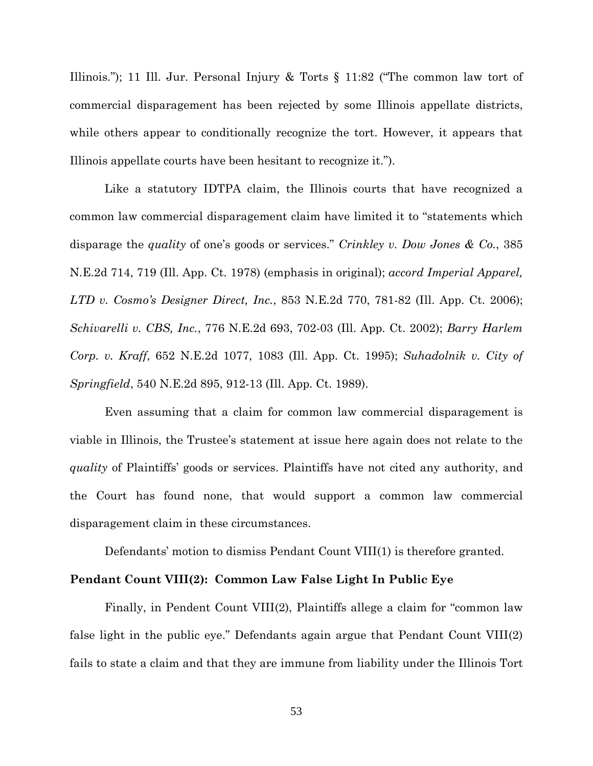Illinois."); 11 Ill. Jur. Personal Injury & Torts § 11:82 ("The common law tort of commercial disparagement has been rejected by some Illinois appellate districts, while others appear to conditionally recognize the tort. However, it appears that Illinois appellate courts have been hesitant to recognize it.").

Like a statutory IDTPA claim, the Illinois courts that have recognized a common law commercial disparagement claim have limited it to "statements which disparage the *quality* of one's goods or services." *Crinkley v. Dow Jones & Co.*, 385 N.E.2d 714, 719 (Ill. App. Ct. 1978) (emphasis in original); *accord Imperial Apparel, LTD v. Cosmo's Designer Direct, Inc.*, 853 N.E.2d 770, 781-82 (Ill. App. Ct. 2006); *Schivarelli v. CBS, Inc.*, 776 N.E.2d 693, 702-03 (Ill. App. Ct. 2002); *Barry Harlem Corp. v. Kraff*, 652 N.E.2d 1077, 1083 (Ill. App. Ct. 1995); *Suhadolnik v. City of Springfield*, 540 N.E.2d 895, 912-13 (Ill. App. Ct. 1989).

Even assuming that a claim for common law commercial disparagement is viable in Illinois, the Trustee's statement at issue here again does not relate to the *quality* of Plaintiffs' goods or services. Plaintiffs have not cited any authority, and the Court has found none, that would support a common law commercial disparagement claim in these circumstances.

Defendants' motion to dismiss Pendant Count VIII(1) is therefore granted.

## **Pendant Count VIII(2): Common Law False Light In Public Eye**

Finally, in Pendent Count VIII(2), Plaintiffs allege a claim for "common law false light in the public eye." Defendants again argue that Pendant Count VIII(2) fails to state a claim and that they are immune from liability under the Illinois Tort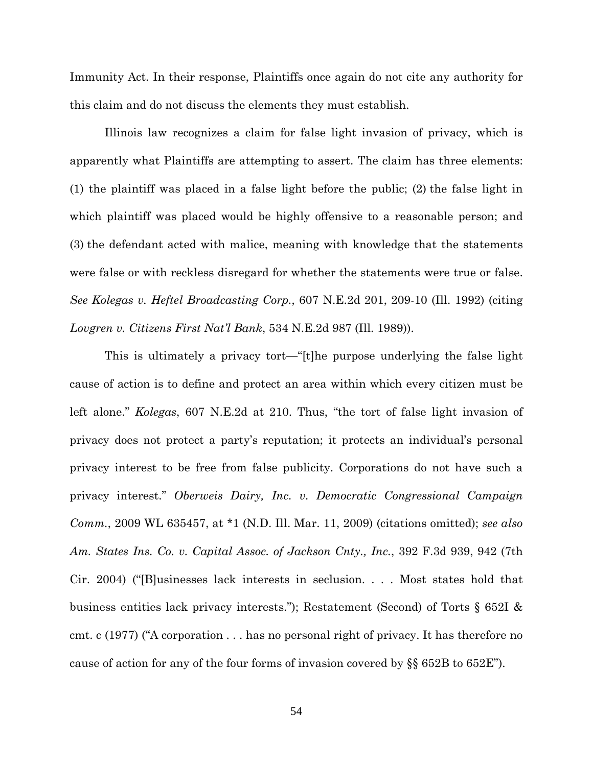Immunity Act. In their response, Plaintiffs once again do not cite any authority for this claim and do not discuss the elements they must establish.

Illinois law recognizes a claim for false light invasion of privacy, which is apparently what Plaintiffs are attempting to assert. The claim has three elements: (1) the plaintiff was placed in a false light before the public; (2) the false light in which plaintiff was placed would be highly offensive to a reasonable person; and (3) the defendant acted with malice, meaning with knowledge that the statements were false or with reckless disregard for whether the statements were true or false. *See Kolegas v. Heftel Broadcasting Corp.*, 607 N.E.2d 201, 209-10 (Ill. 1992) (citing *Lovgren v. Citizens First Nat'l Bank*, 534 N.E.2d 987 (Ill. 1989)).

This is ultimately a privacy tort—"[t]he purpose underlying the false light cause of action is to define and protect an area within which every citizen must be left alone." *Kolegas*, 607 N.E.2d at 210. Thus, "the tort of false light invasion of privacy does not protect a party's reputation; it protects an individual's personal privacy interest to be free from false publicity. Corporations do not have such a privacy interest." *Oberweis Dairy, Inc. v. Democratic Congressional Campaign Comm.*, 2009 WL 635457, at \*1 (N.D. Ill. Mar. 11, 2009) (citations omitted); *see also Am. States Ins. Co. v. Capital Assoc. of Jackson Cnty., Inc.*, 392 F.3d 939, 942 (7th Cir. 2004) ("[B]usinesses lack interests in seclusion. . . . Most states hold that business entities lack privacy interests."); Restatement (Second) of Torts § 652I & cmt. c (1977) ("A corporation . . . has no personal right of privacy. It has therefore no cause of action for any of the four forms of invasion covered by §§ 652B to 652E").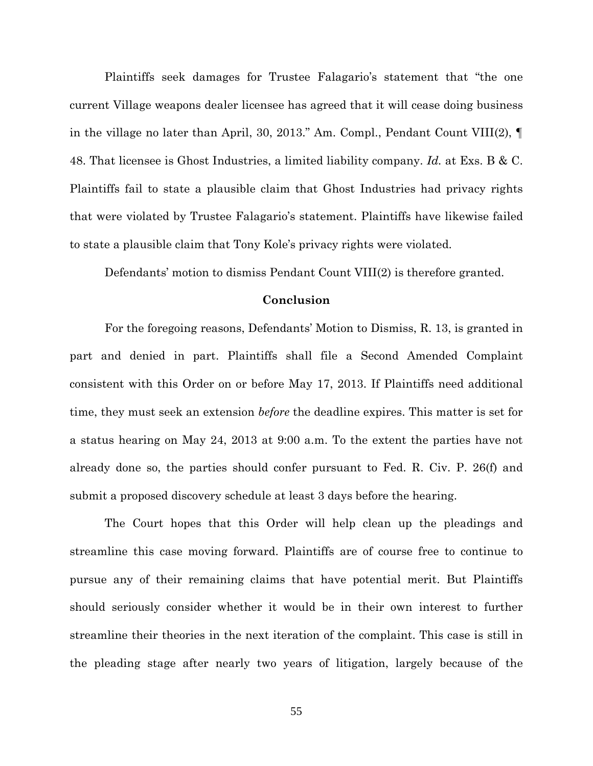Plaintiffs seek damages for Trustee Falagario's statement that "the one current Village weapons dealer licensee has agreed that it will cease doing business in the village no later than April, 30, 2013." Am. Compl., Pendant Count VIII(2), ¶ 48. That licensee is Ghost Industries, a limited liability company. *Id.* at Exs. B & C. Plaintiffs fail to state a plausible claim that Ghost Industries had privacy rights that were violated by Trustee Falagario's statement. Plaintiffs have likewise failed to state a plausible claim that Tony Kole's privacy rights were violated.

Defendants' motion to dismiss Pendant Count VIII(2) is therefore granted.

## **Conclusion**

For the foregoing reasons, Defendants' Motion to Dismiss, R. 13, is granted in part and denied in part. Plaintiffs shall file a Second Amended Complaint consistent with this Order on or before May 17, 2013. If Plaintiffs need additional time, they must seek an extension *before* the deadline expires. This matter is set for a status hearing on May 24, 2013 at 9:00 a.m. To the extent the parties have not already done so, the parties should confer pursuant to Fed. R. Civ. P. 26(f) and submit a proposed discovery schedule at least 3 days before the hearing.

The Court hopes that this Order will help clean up the pleadings and streamline this case moving forward. Plaintiffs are of course free to continue to pursue any of their remaining claims that have potential merit. But Plaintiffs should seriously consider whether it would be in their own interest to further streamline their theories in the next iteration of the complaint. This case is still in the pleading stage after nearly two years of litigation, largely because of the